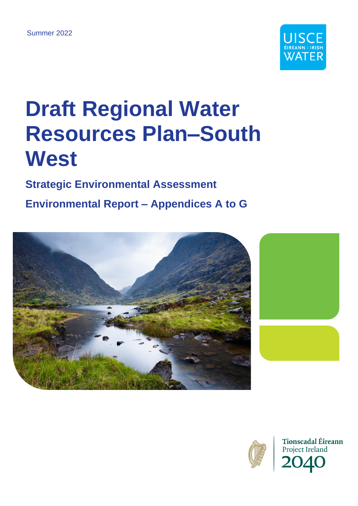

# **Draft Regional Water Resources Plan–South West**

# **Strategic Environmental Assessment**

# **Environmental Report – Appendices A to G**





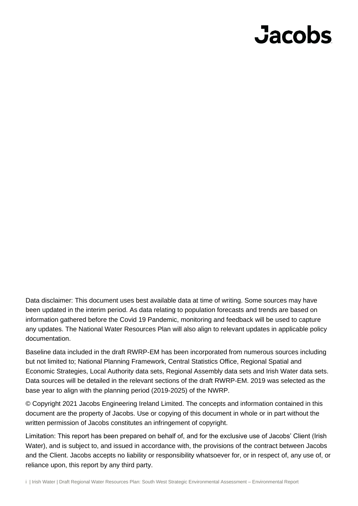# **Jacobs**

Data disclaimer: This document uses best available data at time of writing. Some sources may have been updated in the interim period. As data relating to population forecasts and trends are based on information gathered before the Covid 19 Pandemic, monitoring and feedback will be used to capture any updates. The National Water Resources Plan will also align to relevant updates in applicable policy documentation.

Baseline data included in the draft RWRP-EM has been incorporated from numerous sources including but not limited to; National Planning Framework, Central Statistics Office, Regional Spatial and Economic Strategies, Local Authority data sets, Regional Assembly data sets and Irish Water data sets. Data sources will be detailed in the relevant sections of the draft RWRP-EM. 2019 was selected as the base year to align with the planning period (2019-2025) of the NWRP.

© Copyright 2021 Jacobs Engineering Ireland Limited. The concepts and information contained in this document are the property of Jacobs. Use or copying of this document in whole or in part without the written permission of Jacobs constitutes an infringement of copyright.

Limitation: This report has been prepared on behalf of, and for the exclusive use of Jacobs' Client (Irish Water), and is subject to, and issued in accordance with, the provisions of the contract between Jacobs and the Client. Jacobs accepts no liability or responsibility whatsoever for, or in respect of, any use of, or reliance upon, this report by any third party.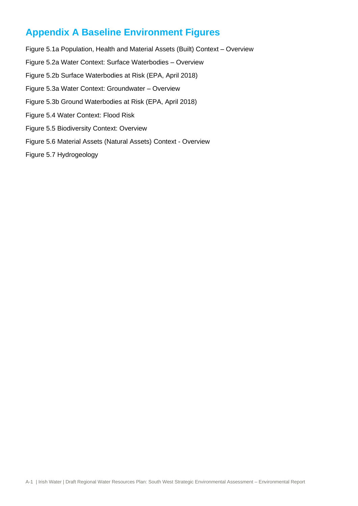# **Appendix A Baseline Environment Figures**

- Figure 5.1a Population, Health and Material Assets (Built) Context Overview Figure 5.2a Water Context: Surface Waterbodies – Overview Figure 5.2b Surface Waterbodies at Risk (EPA, April 2018) Figure 5.3a Water Context: Groundwater – Overview Figure 5.3b Ground Waterbodies at Risk (EPA, April 2018) Figure 5.4 Water Context: Flood Risk Figure 5.5 Biodiversity Context: Overview Figure 5.6 Material Assets (Natural Assets) Context - Overview
- Figure 5.7 Hydrogeology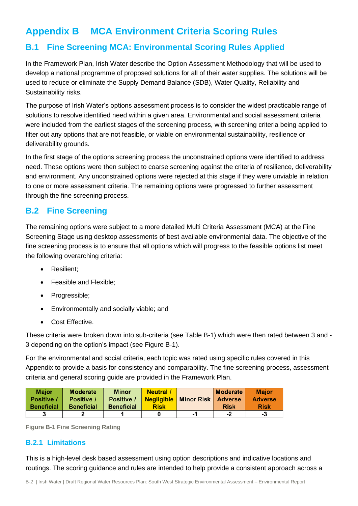# **Appendix B MCA Environment Criteria Scoring Rules**

## **B.1 Fine Screening MCA: Environmental Scoring Rules Applied**

In the Framework Plan, Irish Water describe the Option Assessment Methodology that will be used to develop a national programme of proposed solutions for all of their water supplies. The solutions will be used to reduce or eliminate the Supply Demand Balance (SDB), Water Quality, Reliability and Sustainability risks.

The purpose of Irish Water's options assessment process is to consider the widest practicable range of solutions to resolve identified need within a given area. Environmental and social assessment criteria were included from the earliest stages of the screening process, with screening criteria being applied to filter out any options that are not feasible, or viable on environmental sustainability, resilience or deliverability grounds.

In the first stage of the options screening process the unconstrained options were identified to address need. These options were then subject to coarse screening against the criteria of resilience, deliverability and environment. Any unconstrained options were rejected at this stage if they were unviable in relation to one or more assessment criteria. The remaining options were progressed to further assessment through the fine screening process.

### **B.2 Fine Screening**

The remaining options were subject to a more detailed Multi Criteria Assessment (MCA) at the Fine Screening Stage using desktop assessments of best available environmental data. The objective of the fine screening process is to ensure that all options which will progress to the feasible options list meet the following overarching criteria:

- Resilient;
- Feasible and Flexible;
- Progressible;
- Environmentally and socially viable; and
- Cost Effective.

These criteria were broken down into sub-criteria (see [Table B-1\)](#page-4-0) which were then rated between 3 and - 3 depending on the option's impact (see [Figure B-1\)](#page-3-0).

For the environmental and social criteria, each topic was rated using specific rules covered in this Appendix to provide a basis for consistency and comparability. The fine screening process, assessment criteria and general scoring guide are provided in the Framework Plan.

| <b>Major</b>      | <b>Moderate</b>   | <b>Minor</b>      | <b>Neutral</b> / |                                          | Moderate    | <b>Major</b>   |
|-------------------|-------------------|-------------------|------------------|------------------------------------------|-------------|----------------|
| Positive /        | Positive /        | Positive /        |                  | <b>Negligible   Minor Risk   Adverse</b> |             | <b>Adverse</b> |
| <b>Beneficial</b> | <b>Beneficial</b> | <b>Beneficial</b> | <b>Risk</b>      |                                          | <b>Risk</b> | <b>Risk</b>    |
|                   |                   |                   |                  | -7                                       | -2          | -3             |

<span id="page-3-0"></span>**Figure B-1 Fine Screening Rating**

#### **B.2.1 Limitations**

This is a high-level desk based assessment using option descriptions and indicative locations and routings. The scoring guidance and rules are intended to help provide a consistent approach across a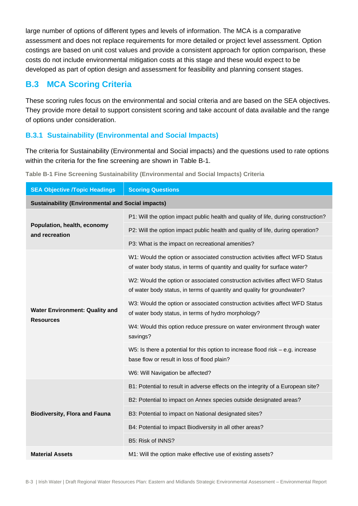large number of options of different types and levels of information. The MCA is a comparative assessment and does not replace requirements for more detailed or project level assessment. Option costings are based on unit cost values and provide a consistent approach for option comparison, these costs do not include environmental mitigation costs at this stage and these would expect to be developed as part of option design and assessment for feasibility and planning consent stages.

## **B.3 MCA Scoring Criteria**

These scoring rules focus on the environmental and social criteria and are based on the SEA objectives. They provide more detail to support consistent scoring and take account of data available and the range of options under consideration.

#### **B.3.1 Sustainability (Environmental and Social Impacts)**

The criteria for Sustainability (Environmental and Social impacts) and the questions used to rate options within the criteria for the fine screening are shown in [Table B-1.](#page-4-0)

| <b>Scoring Questions</b><br><b>SEA Objective /Topic Headings</b> |                                                                                                                                                           |  |
|------------------------------------------------------------------|-----------------------------------------------------------------------------------------------------------------------------------------------------------|--|
| <b>Sustainability (Environmental and Social impacts)</b>         |                                                                                                                                                           |  |
|                                                                  | P1: Will the option impact public health and quality of life, during construction?                                                                        |  |
| Population, health, economy<br>and recreation                    | P2: Will the option impact public health and quality of life, during operation?                                                                           |  |
|                                                                  | P3: What is the impact on recreational amenities?                                                                                                         |  |
|                                                                  | W1: Would the option or associated construction activities affect WFD Status<br>of water body status, in terms of quantity and quality for surface water? |  |
|                                                                  | W2: Would the option or associated construction activities affect WFD Status<br>of water body status, in terms of quantity and quality for groundwater?   |  |
| <b>Water Environment: Quality and</b><br><b>Resources</b>        | W3: Would the option or associated construction activities affect WFD Status<br>of water body status, in terms of hydro morphology?                       |  |
|                                                                  | W4: Would this option reduce pressure on water environment through water<br>savings?                                                                      |  |
|                                                                  | W5: Is there a potential for this option to increase flood risk $-$ e.g. increase<br>base flow or result in loss of flood plain?                          |  |
|                                                                  | W6: Will Navigation be affected?                                                                                                                          |  |
|                                                                  | B1: Potential to result in adverse effects on the integrity of a European site?                                                                           |  |
|                                                                  | B2: Potential to impact on Annex species outside designated areas?                                                                                        |  |
| <b>Biodiversity, Flora and Fauna</b>                             | B3: Potential to impact on National designated sites?                                                                                                     |  |
|                                                                  | B4: Potential to impact Biodiversity in all other areas?                                                                                                  |  |
|                                                                  | B5: Risk of INNS?                                                                                                                                         |  |
| <b>Material Assets</b>                                           | M1: Will the option make effective use of existing assets?                                                                                                |  |

<span id="page-4-0"></span>**Table B-1 Fine Screening Sustainability (Environmental and Social Impacts) Criteria**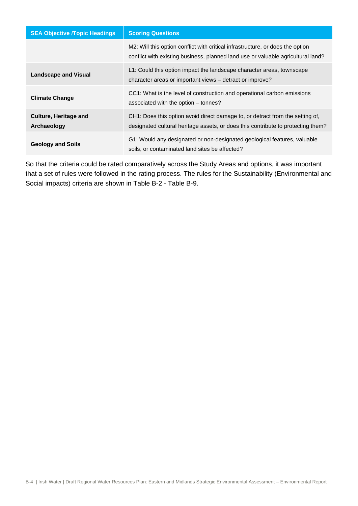| <b>SEA Objective /Topic Headings</b>        | <b>Scoring Questions</b>                                                                                                                                           |
|---------------------------------------------|--------------------------------------------------------------------------------------------------------------------------------------------------------------------|
|                                             | M2: Will this option conflict with critical infrastructure, or does the option<br>conflict with existing business, planned land use or valuable agricultural land? |
| <b>Landscape and Visual</b>                 | L1: Could this option impact the landscape character areas, townscape<br>character areas or important views – detract or improve?                                  |
| <b>Climate Change</b>                       | CC1: What is the level of construction and operational carbon emissions<br>associated with the option – tonnes?                                                    |
| <b>Culture, Heritage and</b><br>Archaeology | CH1: Does this option avoid direct damage to, or detract from the setting of,<br>designated cultural heritage assets, or does this contribute to protecting them?  |
| <b>Geology and Soils</b>                    | G1: Would any designated or non-designated geological features, valuable<br>soils, or contaminated land sites be affected?                                         |

So that the criteria could be rated comparatively across the Study Areas and options, it was important that a set of rules were followed in the rating process. The rules for the Sustainability (Environmental and Social impacts) criteria are shown in [Table B-2](#page-6-0) - [Table B-9.](#page-21-0)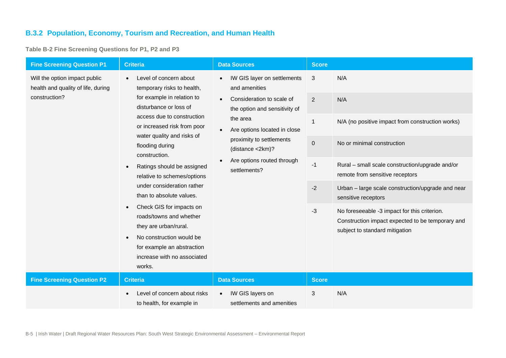#### **B.3.2 Population, Economy, Tourism and Recreation, and Human Health**

**Table B-2 Fine Screening Questions for P1, P2 and P3**

<span id="page-6-0"></span>

| <b>Fine Screening Question P1</b>                                                    | <b>Criteria</b>                                                                                                                                                                                                                                                                                                                                                                                                                                                                                                                                                    | <b>Data Sources</b>                                                                                                                                                                                                                                                            | <b>Score</b>                                |                                                                                                                                                                                                                |
|--------------------------------------------------------------------------------------|--------------------------------------------------------------------------------------------------------------------------------------------------------------------------------------------------------------------------------------------------------------------------------------------------------------------------------------------------------------------------------------------------------------------------------------------------------------------------------------------------------------------------------------------------------------------|--------------------------------------------------------------------------------------------------------------------------------------------------------------------------------------------------------------------------------------------------------------------------------|---------------------------------------------|----------------------------------------------------------------------------------------------------------------------------------------------------------------------------------------------------------------|
| Will the option impact public<br>health and quality of life, during<br>construction? | Level of concern about<br>temporary risks to health,<br>for example in relation to<br>disturbance or loss of<br>access due to construction<br>or increased risk from poor<br>water quality and risks of<br>flooding during<br>construction.<br>Ratings should be assigned<br>$\bullet$<br>relative to schemes/options<br>under consideration rather<br>than to absolute values.<br>Check GIS for impacts on<br>roads/towns and whether<br>they are urban/rural.<br>No construction would be<br>for example an abstraction<br>increase with no associated<br>works. | IW GIS layer on settlements<br>and amenities<br>Consideration to scale of<br>$\bullet$<br>the option and sensitivity of<br>the area<br>Are options located in close<br>$\bullet$<br>proximity to settlements<br>(distance <2km)?<br>Are options routed through<br>settlements? | 3<br>2<br>$\mathbf{1}$<br>$\pmb{0}$<br>$-1$ | N/A<br>N/A<br>N/A (no positive impact from construction works)<br>No or minimal construction<br>Rural - small scale construction/upgrade and/or<br>remote from sensitive receptors                             |
|                                                                                      |                                                                                                                                                                                                                                                                                                                                                                                                                                                                                                                                                                    |                                                                                                                                                                                                                                                                                | $-2$<br>$-3$                                | Urban - large scale construction/upgrade and near<br>sensitive receptors<br>No foreseeable -3 impact for this criterion.<br>Construction impact expected to be temporary and<br>subject to standard mitigation |
| <b>Fine Screening Question P2</b>                                                    | <b>Criteria</b>                                                                                                                                                                                                                                                                                                                                                                                                                                                                                                                                                    | <b>Data Sources</b>                                                                                                                                                                                                                                                            | <b>Score</b>                                |                                                                                                                                                                                                                |
|                                                                                      | Level of concern about risks<br>to health, for example in                                                                                                                                                                                                                                                                                                                                                                                                                                                                                                          | IW GIS layers on<br>settlements and amenities                                                                                                                                                                                                                                  | 3                                           | N/A                                                                                                                                                                                                            |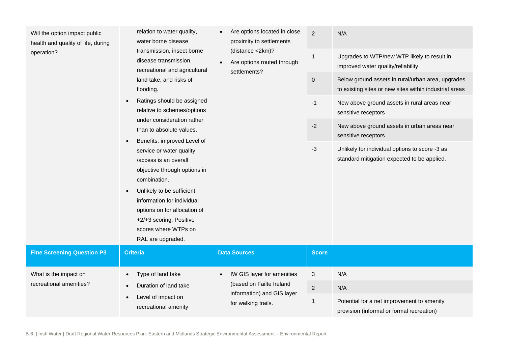Will the option impact public health and quality of life, during operation? relation to water quality, water borne disease transmission, insect borne disease transmission, recreational and agricultural land take, and risks of flooding. Ratings should be assigned relative to schemes/options under consideration rather than to absolute values. • Benefits: improved Level of service or water quality /access is an overall objective through options in combination. Unlikely to be sufficient information for individual options on for allocation of +2/+3 scoring. Positive scores where WTPs on RAL are upgraded. • Are options located in close proximity to settlements (distance <2km)? • Are options routed through settlements? 2 N/A 1 Upgrades to WTP/new WTP likely to result in improved water quality/reliability 0 Below ground assets in rural/urban area, upgrades to existing sites or new sites within industrial areas -1 New above ground assets in rural areas near sensitive receptors -2 New above ground assets in urban areas near sensitive receptors -3 Unlikely for individual options to score -3 as standard mitigation expected to be applied. **Fine Screening Question P3 Criteria Data Sources Data Sources Business Score** What is the impact on recreational amenities? • Type of land take • Duration of land take • Level of impact on recreational amenity • IW GIS layer for amenities (based on Failte Ireland information) and GIS layer for walking trails. 3 N/A 2 N/A 1 Potential for a net improvement to amenity provision (informal or formal recreation)

B-6 | Irish Water | Draft Regional Water Resources Plan: Eastern and Midlands Strategic Environmental Assessment – Environmental Report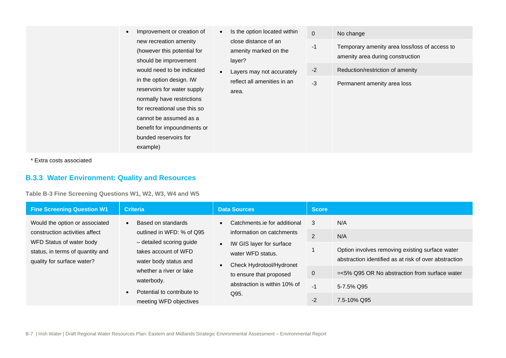- Improvement or creation of new recreation amenity (however this potential for should be improvement would need to be indicated in the option design. IW reservoirs for water supply normally have restrictions for recreational use this so cannot be assumed as a benefit for impoundments or bunded reservoirs for example)
- Is the option located within close distance of an amenity marked on the layer?
- Layers may not accurately reflect all amenities in an area.
- 0 No change
- -1 Temporary amenity area loss/loss of access to amenity area during construction
- -2 Reduction/restriction of amenity
- -3 Permanent amenity area loss

\* Extra costs associated

#### **B.3.3 Water Environment: Quality and Resources**

**Table B-3 Fine Screening Questions W1, W2, W3, W4 and W5**

| <b>Fine Screening Question W1</b>                                                                                                                              | <b>Criteria</b>                                                                                                                                                                                                                            | <b>Data Sources</b>                                                                                                                                                                                                                              | <b>Score</b>                             |                                                                                                                                                                                                         |
|----------------------------------------------------------------------------------------------------------------------------------------------------------------|--------------------------------------------------------------------------------------------------------------------------------------------------------------------------------------------------------------------------------------------|--------------------------------------------------------------------------------------------------------------------------------------------------------------------------------------------------------------------------------------------------|------------------------------------------|---------------------------------------------------------------------------------------------------------------------------------------------------------------------------------------------------------|
| Would the option or associated<br>construction activities affect<br>WFD Status of water body<br>status, in terms of quantity and<br>quality for surface water? | Based on standards<br>$\bullet$<br>outlined in WFD: % of Q95<br>- detailed scoring guide<br>takes account of WFD<br>water body status and<br>whether a river or lake<br>waterbody.<br>Potential to contribute to<br>meeting WFD objectives | Catchments.ie for additional<br>$\bullet$<br>information on catchments<br>IW GIS layer for surface<br>$\bullet$<br>water WFD status.<br>Check Hydrotool/Hydronet<br>$\bullet$<br>to ensure that proposed<br>abstraction is within 10% of<br>Q95. | 3<br>$\overline{2}$<br>0<br>$-1$<br>$-2$ | N/A<br>N/A<br>Option involves removing existing surface water<br>abstraction identified as at risk of over abstraction<br>$=<5\%$ Q95 OR No abstraction from surface water<br>5-7.5% Q95<br>7.5-10% Q95 |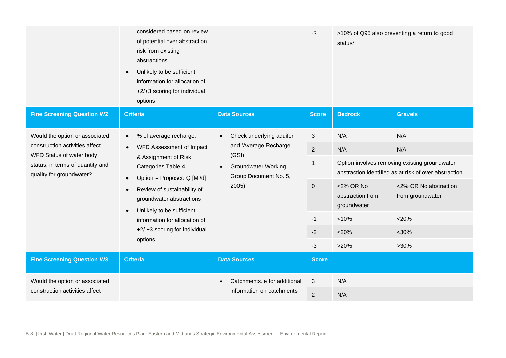|                                                                                          | considered based on review<br>of potential over abstraction<br>risk from existing<br>abstractions.<br>Unlikely to be sufficient<br>information for allocation of<br>+2/+3 scoring for individual<br>options |                                                                                                                                          | $-3$           | status*                                                                                                | >10% of Q95 also preventing a return to good |
|------------------------------------------------------------------------------------------|-------------------------------------------------------------------------------------------------------------------------------------------------------------------------------------------------------------|------------------------------------------------------------------------------------------------------------------------------------------|----------------|--------------------------------------------------------------------------------------------------------|----------------------------------------------|
| <b>Fine Screening Question W2</b>                                                        | <b>Criteria</b>                                                                                                                                                                                             | <b>Data Sources</b>                                                                                                                      | <b>Score</b>   | <b>Bedrock</b>                                                                                         | <b>Gravels</b>                               |
| Would the option or associated                                                           | % of average recharge.<br>$\bullet$                                                                                                                                                                         | Check underlying aquifer<br>and 'Average Recharge'<br>(GSI)<br><b>Groundwater Working</b><br>$\bullet$<br>Group Document No. 5,<br>2005) | 3              | N/A                                                                                                    | N/A                                          |
| construction activities affect                                                           | WFD Assessment of Impact<br>$\bullet$                                                                                                                                                                       |                                                                                                                                          | $\overline{2}$ | N/A                                                                                                    | N/A                                          |
| WFD Status of water body<br>status, in terms of quantity and<br>quality for groundwater? | & Assignment of Risk<br>Categories Table 4                                                                                                                                                                  |                                                                                                                                          | -1             | Option involves removing existing groundwater<br>abstraction identified as at risk of over abstraction |                                              |
| Option = Proposed Q [MI/d]<br>$\bullet$<br>$\bullet$<br>groundwater abstractions         | Review of sustainability of                                                                                                                                                                                 |                                                                                                                                          | $\pmb{0}$      | <2% OR No<br>abstraction from<br>groundwater                                                           | <2% OR No abstraction<br>from groundwater    |
|                                                                                          | Unlikely to be sufficient<br>information for allocation of<br>+2/ +3 scoring for individual                                                                                                                 |                                                                                                                                          | $-1$           | < 10%                                                                                                  | $<$ 20%                                      |
|                                                                                          |                                                                                                                                                                                                             |                                                                                                                                          | $-2$           | $<$ 20%                                                                                                | $<$ 30%                                      |
|                                                                                          | options                                                                                                                                                                                                     |                                                                                                                                          | $-3$           | >20%                                                                                                   | $>30\%$                                      |
| <b>Fine Screening Question W3</b>                                                        | <b>Criteria</b>                                                                                                                                                                                             | <b>Data Sources</b>                                                                                                                      | <b>Score</b>   |                                                                                                        |                                              |
| Would the option or associated                                                           |                                                                                                                                                                                                             | Catchments.ie for additional                                                                                                             | $\sqrt{3}$     | N/A                                                                                                    |                                              |
| construction activities affect                                                           | information on catchments                                                                                                                                                                                   | $\overline{2}$                                                                                                                           | N/A            |                                                                                                        |                                              |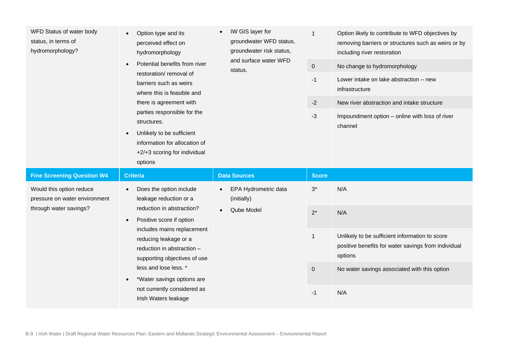| WFD Status of water body<br>status, in terms of<br>hydromorphology? | Option type and its<br>perceived effect on<br>hydromorphology<br>Potential benefits from river<br>restoration/removal of<br>barriers such as weirs<br>where this is feasible and<br>there is agreement with<br>parties responsible for the<br>structures.<br>Unlikely to be sufficient<br>information for allocation of<br>+2/+3 scoring for individual<br>options | IW GIS layer for<br>groundwater WFD status,<br>groundwater risk status,<br>and surface water WFD<br>status. | $\mathbf{1}$<br>$\mathbf 0$<br>$-1$<br>$-2$<br>$-3$ | Option likely to contribute to WFD objectives by<br>removing barriers or structures such as weirs or by<br>including river restoration<br>No change to hydromorphology<br>Lower intake on lake abstraction - new<br>infrastructure<br>New river abstraction and intake structure<br>Impoundment option - online with loss of river<br>channel |
|---------------------------------------------------------------------|--------------------------------------------------------------------------------------------------------------------------------------------------------------------------------------------------------------------------------------------------------------------------------------------------------------------------------------------------------------------|-------------------------------------------------------------------------------------------------------------|-----------------------------------------------------|-----------------------------------------------------------------------------------------------------------------------------------------------------------------------------------------------------------------------------------------------------------------------------------------------------------------------------------------------|
|                                                                     |                                                                                                                                                                                                                                                                                                                                                                    |                                                                                                             |                                                     |                                                                                                                                                                                                                                                                                                                                               |
| <b>Fine Screening Question W4</b>                                   | <b>Criteria</b>                                                                                                                                                                                                                                                                                                                                                    | <b>Data Sources</b>                                                                                         | <b>Score</b>                                        |                                                                                                                                                                                                                                                                                                                                               |
| Would this option reduce<br>pressure on water environment           | Does the option include<br>leakage reduction or a                                                                                                                                                                                                                                                                                                                  | EPA Hydrometric data<br>(initially)                                                                         | $3^*$                                               | N/A                                                                                                                                                                                                                                                                                                                                           |
| through water savings?                                              | reduction in abstraction?<br>Positive score if option<br>$\bullet$                                                                                                                                                                                                                                                                                                 | Qube Model                                                                                                  | $2^*$                                               | N/A                                                                                                                                                                                                                                                                                                                                           |
|                                                                     | includes mains replacement<br>reducing leakage or a<br>reduction in abstraction -<br>supporting objectives of use                                                                                                                                                                                                                                                  |                                                                                                             | $\mathbf{1}$                                        | Unlikely to be sufficient information to score<br>positive benefits for water savings from individual<br>options                                                                                                                                                                                                                              |
|                                                                     | less and lose less. *<br>*Water savings options are                                                                                                                                                                                                                                                                                                                |                                                                                                             | $\mathbf 0$                                         | No water savings associated with this option                                                                                                                                                                                                                                                                                                  |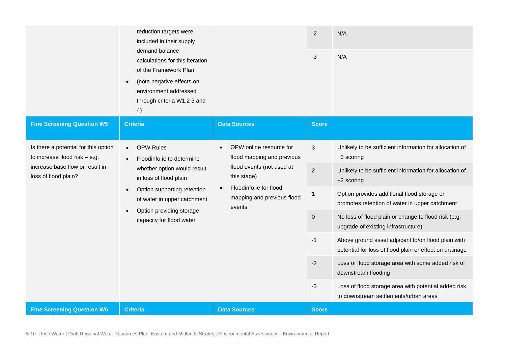|                                                                         | reduction targets were<br>included in their supply<br>demand balance<br>calculations for this iteration<br>of the Framework Plan.<br>(note negative effects on<br>environment addressed<br>through criteria W1,2 3 and<br>4) |                                                                                                                         | $-2$<br>$-3$   | N/A<br>N/A                                                                                                    |
|-------------------------------------------------------------------------|------------------------------------------------------------------------------------------------------------------------------------------------------------------------------------------------------------------------------|-------------------------------------------------------------------------------------------------------------------------|----------------|---------------------------------------------------------------------------------------------------------------|
| <b>Fine Screening Question W5</b>                                       | <b>Criteria</b>                                                                                                                                                                                                              | <b>Data Sources</b>                                                                                                     | <b>Score</b>   |                                                                                                               |
| Is there a potential for this option<br>to increase flood risk $-$ e.g. | <b>OPW Rules</b><br>$\bullet$<br>Floodinfo.ie to determine                                                                                                                                                                   | OPW online resource for<br>$\bullet$<br>flood mapping and previous                                                      | 3              | Unlikely to be sufficient information for allocation of<br>+3 scoring                                         |
| increase base flow or result in<br>loss of flood plain?                 | whether option would result<br>in loss of flood plain<br>Option supporting retention<br>of water in upper catchment<br>Option providing storage<br>capacity for flood water                                                  | flood events (not used at<br>this stage)<br>Floodinfo.ie for flood<br>$\bullet$<br>mapping and previous flood<br>events | $\overline{2}$ | Unlikely to be sufficient information for allocation of<br>+2 scoring                                         |
|                                                                         |                                                                                                                                                                                                                              |                                                                                                                         | 1              | Option provides additional flood storage or<br>promotes retention of water in upper catchment                 |
|                                                                         |                                                                                                                                                                                                                              |                                                                                                                         | $\pmb{0}$      | No loss of flood plain or change to flood risk (e.g.<br>upgrade of existing infrastructure)                   |
|                                                                         |                                                                                                                                                                                                                              |                                                                                                                         | $-1$           | Above ground asset adjacent to/on flood plain with<br>potential for loss of flood plain or effect on drainage |
|                                                                         |                                                                                                                                                                                                                              |                                                                                                                         | $-2$           | Loss of flood storage area with some added risk of<br>downstream flooding                                     |
|                                                                         |                                                                                                                                                                                                                              |                                                                                                                         | -3             | Loss of flood storage area with potential added risk<br>to downstream settlements/urban areas                 |
| <b>Fine Screening Question W6</b>                                       | <b>Criteria</b>                                                                                                                                                                                                              | <b>Data Sources</b>                                                                                                     | <b>Score</b>   |                                                                                                               |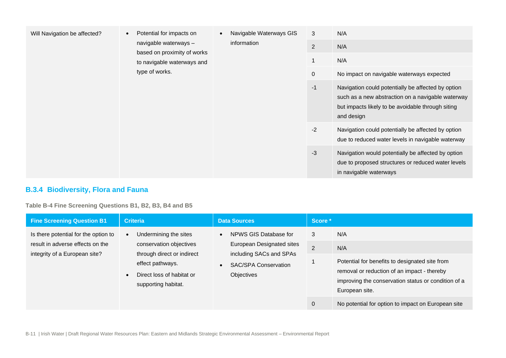| Will Navigation be affected? | Potential for impacts on<br>navigable waterways -<br>based on proximity of works<br>to navigable waterways and | Navigable Waterways GIS<br>information | 3<br>$\overline{2}$                                                                                     | N/A<br>N/A                                                                                                                                                                 |
|------------------------------|----------------------------------------------------------------------------------------------------------------|----------------------------------------|---------------------------------------------------------------------------------------------------------|----------------------------------------------------------------------------------------------------------------------------------------------------------------------------|
|                              |                                                                                                                |                                        | $\mathbf{1}$                                                                                            | N/A                                                                                                                                                                        |
|                              | type of works.                                                                                                 |                                        | $\mathbf 0$                                                                                             | No impact on navigable waterways expected                                                                                                                                  |
|                              |                                                                                                                |                                        | $-1$                                                                                                    | Navigation could potentially be affected by option<br>such as a new abstraction on a navigable waterway<br>but impacts likely to be avoidable through siting<br>and design |
|                              |                                                                                                                | $-2$                                   | Navigation could potentially be affected by option<br>due to reduced water levels in navigable waterway |                                                                                                                                                                            |
|                              |                                                                                                                |                                        | $-3$                                                                                                    | Navigation would potentially be affected by option<br>due to proposed structures or reduced water levels<br>in navigable waterways                                         |

### **B.3.4 Biodiversity, Flora and Fauna**

**Table B-4 Fine Screening Questions B1, B2, B3, B4 and B5**

| <b>Fine Screening Question B1</b>                                                                         | <b>Criteria</b>                                                                                                                                        | <b>Data Sources</b>                                                                                                                     | Score *                  |                                                                                                                                                                                                                                            |
|-----------------------------------------------------------------------------------------------------------|--------------------------------------------------------------------------------------------------------------------------------------------------------|-----------------------------------------------------------------------------------------------------------------------------------------|--------------------------|--------------------------------------------------------------------------------------------------------------------------------------------------------------------------------------------------------------------------------------------|
| Is there potential for the option to<br>result in adverse effects on the<br>integrity of a European site? | Undermining the sites<br>conservation objectives<br>through direct or indirect<br>effect pathways.<br>Direct loss of habitat or<br>supporting habitat. | NPWS GIS Database for<br>$\bullet$<br>European Designated sites<br>including SACs and SPAs<br><b>SAC/SPA Conservation</b><br>Objectives | 3<br>$\overline{2}$<br>0 | N/A<br>N/A<br>Potential for benefits to designated site from<br>removal or reduction of an impact - thereby<br>improving the conservation status or condition of a<br>European site.<br>No potential for option to impact on European site |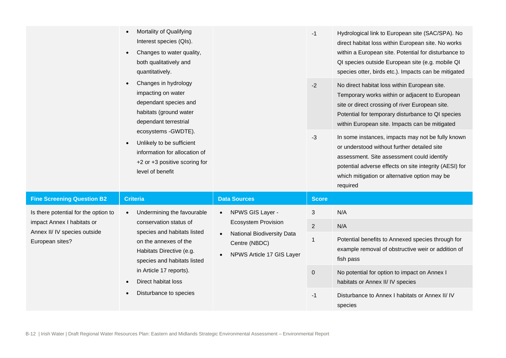| Mortality of Qualifying<br>Interest species (QIs).<br>Changes to water quality,<br>both qualitatively and<br>quantitatively.<br>Changes in hydrology<br>impacting on water<br>dependant species and<br>habitats (ground water<br>dependant terrestrial<br>ecosystems - GWDTE).<br>Unlikely to be sufficient<br>information for allocation of<br>+2 or +3 positive scoring for<br>level of benefit |                                                                                 |                               | $-1$                                                                                                                                                                                                                                                                  | Hydrological link to European site (SAC/SPA). No<br>direct habitat loss within European site. No works<br>within a European site. Potential for disturbance to<br>QI species outside European site (e.g. mobile QI<br>species otter, birds etc.). Impacts can be mitigated |
|---------------------------------------------------------------------------------------------------------------------------------------------------------------------------------------------------------------------------------------------------------------------------------------------------------------------------------------------------------------------------------------------------|---------------------------------------------------------------------------------|-------------------------------|-----------------------------------------------------------------------------------------------------------------------------------------------------------------------------------------------------------------------------------------------------------------------|----------------------------------------------------------------------------------------------------------------------------------------------------------------------------------------------------------------------------------------------------------------------------|
|                                                                                                                                                                                                                                                                                                                                                                                                   |                                                                                 |                               | $-2$                                                                                                                                                                                                                                                                  | No direct habitat loss within European site.<br>Temporary works within or adjacent to European<br>site or direct crossing of river European site.<br>Potential for temporary disturbance to QI species<br>within European site. Impacts can be mitigated                   |
|                                                                                                                                                                                                                                                                                                                                                                                                   |                                                                                 | $-3$                          | In some instances, impacts may not be fully known<br>or understood without further detailed site<br>assessment. Site assessment could identify<br>potential adverse effects on site integrity (AESI) for<br>which mitigation or alternative option may be<br>required |                                                                                                                                                                                                                                                                            |
| <b>Fine Screening Question B2</b>                                                                                                                                                                                                                                                                                                                                                                 | <b>Criteria</b>                                                                 | <b>Data Sources</b>           | <b>Score</b>                                                                                                                                                                                                                                                          |                                                                                                                                                                                                                                                                            |
| Is there potential for the option to                                                                                                                                                                                                                                                                                                                                                              | Undermining the favourable<br>$\bullet$                                         | NPWS GIS Layer -<br>$\bullet$ | 3                                                                                                                                                                                                                                                                     | N/A                                                                                                                                                                                                                                                                        |
| impact Annex I habitats or<br>Annex II/ IV species outside                                                                                                                                                                                                                                                                                                                                        | conservation status of<br>species and habitats listed                           | <b>Ecosystem Provision</b>    | $\overline{2}$                                                                                                                                                                                                                                                        | N/A                                                                                                                                                                                                                                                                        |
| European sites?<br>on the annexes of the<br>Habitats Directive (e.g.<br>species and habitats listed<br>in Article 17 reports).<br>Direct habitat loss<br>Disturbance to species                                                                                                                                                                                                                   | <b>National Biodiversity Data</b><br>Centre (NBDC)<br>NPWS Article 17 GIS Layer | $\mathbf{1}$                  | Potential benefits to Annexed species through for<br>example removal of obstructive weir or addition of<br>fish pass                                                                                                                                                  |                                                                                                                                                                                                                                                                            |
|                                                                                                                                                                                                                                                                                                                                                                                                   |                                                                                 |                               | $\pmb{0}$                                                                                                                                                                                                                                                             | No potential for option to impact on Annex I<br>habitats or Annex II/ IV species                                                                                                                                                                                           |
|                                                                                                                                                                                                                                                                                                                                                                                                   |                                                                                 |                               | $-1$                                                                                                                                                                                                                                                                  | Disturbance to Annex I habitats or Annex II/IV<br>species                                                                                                                                                                                                                  |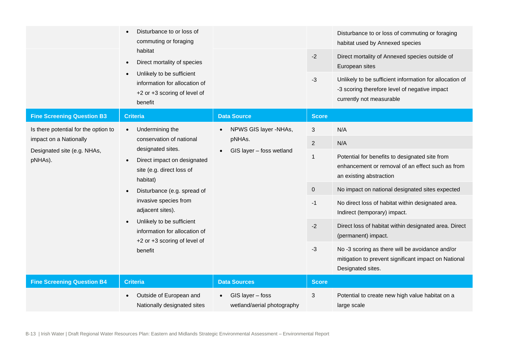|                                                                     | Disturbance to or loss of<br>commuting or foraging<br>habitat<br>Direct mortality of species<br>Unlikely to be sufficient<br>information for allocation of<br>+2 or +3 scoring of level of<br>benefit |                                                | $-2$<br>$-3$                                                                                                                 | Disturbance to or loss of commuting or foraging<br>habitat used by Annexed species<br>Direct mortality of Annexed species outside of<br>European sites<br>Unlikely to be sufficient information for allocation of<br>-3 scoring therefore level of negative impact<br>currently not measurable |
|---------------------------------------------------------------------|-------------------------------------------------------------------------------------------------------------------------------------------------------------------------------------------------------|------------------------------------------------|------------------------------------------------------------------------------------------------------------------------------|------------------------------------------------------------------------------------------------------------------------------------------------------------------------------------------------------------------------------------------------------------------------------------------------|
| <b>Fine Screening Question B3</b>                                   | <b>Criteria</b>                                                                                                                                                                                       | <b>Data Source</b>                             | <b>Score</b>                                                                                                                 |                                                                                                                                                                                                                                                                                                |
| Is there potential for the option to                                | Undermining the<br>$\bullet$                                                                                                                                                                          | NPWS GIS layer -NHAs,                          | 3                                                                                                                            | N/A                                                                                                                                                                                                                                                                                            |
| impact on a Nationally                                              | conservation of national<br>designated sites.                                                                                                                                                         | pNHAs.<br>GIS layer - foss wetland             | 2                                                                                                                            | N/A                                                                                                                                                                                                                                                                                            |
| Designated site (e.g. NHAs,<br>pNHAs).<br>site (e.g. direct loss of | Direct impact on designated<br>habitat)                                                                                                                                                               |                                                | $\mathbf{1}$                                                                                                                 | Potential for benefits to designated site from<br>enhancement or removal of an effect such as from<br>an existing abstraction                                                                                                                                                                  |
|                                                                     | Disturbance (e.g. spread of<br>invasive species from<br>adjacent sites).<br>Unlikely to be sufficient<br>information for allocation of                                                                |                                                | $\mathbf 0$                                                                                                                  | No impact on national designated sites expected                                                                                                                                                                                                                                                |
| +2 or +3 scoring of level of<br>benefit                             |                                                                                                                                                                                                       |                                                | $-1$                                                                                                                         | No direct loss of habitat within designated area.<br>Indirect (temporary) impact.                                                                                                                                                                                                              |
|                                                                     |                                                                                                                                                                                                       |                                                | $-2$                                                                                                                         | Direct loss of habitat within designated area. Direct<br>(permanent) impact.                                                                                                                                                                                                                   |
|                                                                     |                                                                                                                                                                                                       | $-3$                                           | No -3 scoring as there will be avoidance and/or<br>mitigation to prevent significant impact on National<br>Designated sites. |                                                                                                                                                                                                                                                                                                |
| <b>Fine Screening Question B4</b>                                   | <b>Criteria</b>                                                                                                                                                                                       | <b>Data Sources</b>                            | <b>Score</b>                                                                                                                 |                                                                                                                                                                                                                                                                                                |
|                                                                     | Outside of European and<br>Nationally designated sites                                                                                                                                                | GIS layer - foss<br>wetland/aerial photography | 3                                                                                                                            | Potential to create new high value habitat on a<br>large scale                                                                                                                                                                                                                                 |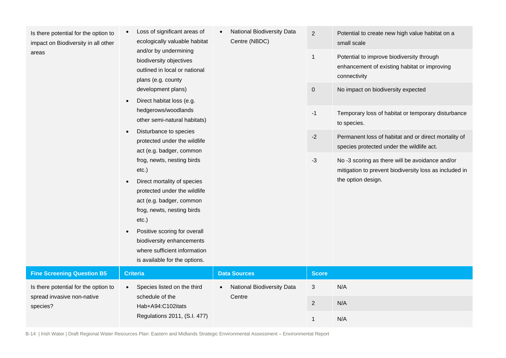Is there potential for the option to impact on Biodiversity in all other areas

• Loss of significant areas of ecologically valuable habitat and/or by undermining biodiversity objectives outlined in local or national

plans (e.g. county development plans) • Direct habitat loss (e.g. hedgerows/woodlands other semi-natural habitats)

• Disturbance to species

• Direct mortality of species protected under the wildlife act (e.g. badger, common frog, newts, nesting birds

• Positive scoring for overall biodiversity enhancements where sufficient information

etc.)

etc.)

protected under the wildlife act (e.g. badger, common frog, newts, nesting birds

• National Biodiversity Data Centre (NBDC)

|      | small scale                                                                                                                     |
|------|---------------------------------------------------------------------------------------------------------------------------------|
| 1    | Potential to improve biodiversity through<br>enhancement of existing habitat or improving<br>connectivity                       |
| 0    | No impact on biodiversity expected                                                                                              |
| $-1$ | Temporary loss of habitat or temporary disturbance<br>to species.                                                               |
| $-2$ | Permanent loss of habitat and or direct mortality of<br>species protected under the wildlife act.                               |
| -3   | No -3 scoring as there will be avoidance and/or<br>mitigation to prevent biodiversity loss as included in<br>the option design. |

2 Potential to create new high value habitat on a

|                                        | is available for the options.        |                                                |              |     |
|----------------------------------------|--------------------------------------|------------------------------------------------|--------------|-----|
| <b>Fine Screening Question B5</b>      | <b>Criteria</b>                      | <b>Data Sources</b>                            | <b>Score</b> |     |
| Is there potential for the option to   | Species listed on the third          | <b>National Biodiversity Data</b><br>$\bullet$ | 3            | N/A |
| spread invasive non-native<br>species? | schedule of the<br>Hab+A94:C102itats | Centre                                         |              | N/A |
|                                        | Regulations 2011, (S.I. 477)         |                                                |              | N/A |

B-14 | Irish Water | Draft Regional Water Resources Plan: Eastern and Midlands Strategic Environmental Assessment – Environmental Report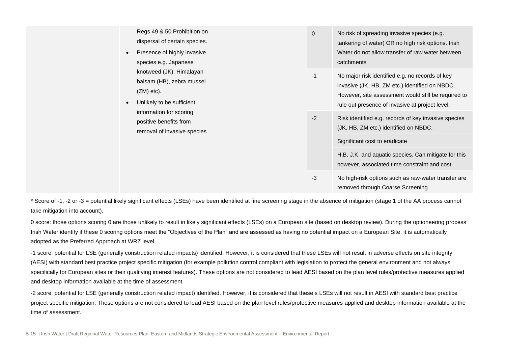| $\bullet$                 | Regs 49 & 50 Prohibition on<br>dispersal of certain species.<br>Presence of highly invasive<br>species e.g. Japanese |      | $\overline{0}$                                                                                                                 | No risk of spreading invasive species (e.g.<br>tankering of water) OR no high risk options. Irish<br>Water do not allow transfer of raw water between<br>catchments                                         |
|---------------------------|----------------------------------------------------------------------------------------------------------------------|------|--------------------------------------------------------------------------------------------------------------------------------|-------------------------------------------------------------------------------------------------------------------------------------------------------------------------------------------------------------|
| $(ZM)$ etc).<br>$\bullet$ | knotweed (JK), Himalayan<br>balsam (HB), zebra mussel<br>Unlikely to be sufficient                                   |      | $-1$                                                                                                                           | No major risk identified e.g. no records of key<br>invasive (JK, HB, ZM etc.) identified on NBDC.<br>However, site assessment would still be required to<br>rule out presence of invasive at project level. |
|                           | information for scoring<br>positive benefits from<br>removal of invasive species                                     | $-2$ | Risk identified e.g. records of key invasive species<br>(JK, HB, ZM etc.) identified on NBDC.<br>Significant cost to eradicate |                                                                                                                                                                                                             |
|                           |                                                                                                                      |      | H.B. J.K. and aquatic species. Can mitigate for this<br>however, associated time constraint and cost.                          |                                                                                                                                                                                                             |
|                           |                                                                                                                      |      | $-3$                                                                                                                           | No high-risk options such as raw-water transfer are<br>removed through Coarse Screening                                                                                                                     |

\* Score of -1, -2 or -3 = potential likely significant effects (LSEs) have been identified at fine screening stage in the absence of mitigation (stage 1 of the AA process cannot take mitigation into account).

0 score: those options scoring 0 are those unlikely to result in likely significant effects (LSEs) on a European site (based on desktop review). During the optioneering process Irish Water identify if these 0 scoring options meet the "Objectives of the Plan" and are assessed as having no potential impact on a European Site, it is automatically adopted as the Preferred Approach at WRZ level.

-1 score: potential for LSE (generally construction related impacts) identified. However, it is considered that these LSEs will not result in adverse effects on site integrity (AESI) with standard best practice project specific mitigation (for example pollution control compliant with legislation to protect the general environment and not always specifically for European sites or their qualifying interest features). These options are not considered to lead AESI based on the plan level rules/protective measures applied and desktop information available at the time of assessment.

-2 score: potential for LSE (generally construction related impact) identified. However, it is considered that these s LSEs will not result in AESI with standard best practice project specific mitigation. These options are not considered to lead AESI based on the plan level rules/protective measures applied and desktop information available at the time of assessment.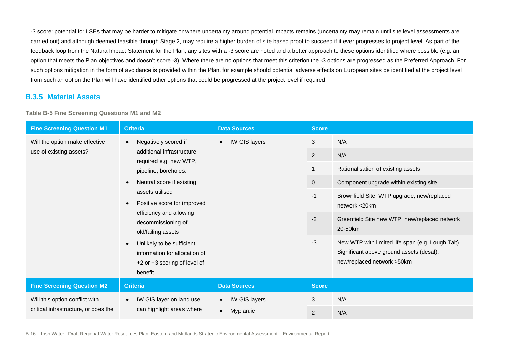-3 score: potential for LSEs that may be harder to mitigate or where uncertainty around potential impacts remains (uncertainty may remain until site level assessments are carried out) and although deemed feasible through Stage 2, may require a higher burden of site based proof to succeed if it ever progresses to project level. As part of the feedback loop from the Natura Impact Statement for the Plan, any sites with a -3 score are noted and a better approach to these options identified where possible (e.g. an option that meets the Plan objectives and doesn't score -3). Where there are no options that meet this criterion the -3 options are progressed as the Preferred Approach. For such options mitigation in the form of avoidance is provided within the Plan, for example should potential adverse effects on European sites be identified at the project level from such an option the Plan will have identified other options that could be progressed at the project level if required.

#### **B.3.5 Material Assets**

**Table B-5 Fine Screening Questions M1 and M2**

| <b>Fine Screening Question M1</b>                                                                                  | <b>Criteria</b>                                                                                                                                                              | <b>Data Sources</b>        | <b>Score</b>                                                                                                                |                                                             |
|--------------------------------------------------------------------------------------------------------------------|------------------------------------------------------------------------------------------------------------------------------------------------------------------------------|----------------------------|-----------------------------------------------------------------------------------------------------------------------------|-------------------------------------------------------------|
| Will the option make effective                                                                                     | Negatively scored if<br>$\bullet$                                                                                                                                            | IW GIS layers<br>$\bullet$ | 3                                                                                                                           | N/A                                                         |
| use of existing assets?                                                                                            | additional infrastructure                                                                                                                                                    |                            | 2                                                                                                                           | N/A                                                         |
|                                                                                                                    | required e.g. new WTP,<br>pipeline, boreholes.                                                                                                                               |                            | $\mathbf{1}$                                                                                                                | Rationalisation of existing assets                          |
|                                                                                                                    | Neutral score if existing<br>$\bullet$<br>assets utilised<br>Positive score for improved<br>$\bullet$<br>efficiency and allowing<br>decommissioning of<br>old/failing assets |                            | $\mathbf 0$                                                                                                                 | Component upgrade within existing site                      |
|                                                                                                                    |                                                                                                                                                                              |                            | $-1$                                                                                                                        | Brownfield Site, WTP upgrade, new/replaced<br>network <20km |
|                                                                                                                    |                                                                                                                                                                              |                            | $-2$                                                                                                                        | Greenfield Site new WTP, new/replaced network<br>20-50km    |
| Unlikely to be sufficient<br>$\bullet$<br>information for allocation of<br>+2 or +3 scoring of level of<br>benefit |                                                                                                                                                                              | $-3$                       | New WTP with limited life span (e.g. Lough Talt).<br>Significant above ground assets (desal),<br>new/replaced network >50km |                                                             |
| <b>Fine Screening Question M2</b>                                                                                  | <b>Criteria</b>                                                                                                                                                              | <b>Data Sources</b>        | <b>Score</b>                                                                                                                |                                                             |
| Will this option conflict with                                                                                     | IW GIS layer on land use<br>$\bullet$                                                                                                                                        | IW GIS layers<br>$\bullet$ | 3                                                                                                                           | N/A                                                         |
| critical infrastructure, or does the                                                                               | can highlight areas where                                                                                                                                                    | Myplan.ie<br>$\bullet$     | 2                                                                                                                           | N/A                                                         |

B-16 | Irish Water | Draft Regional Water Resources Plan: Eastern and Midlands Strategic Environmental Assessment – Environmental Report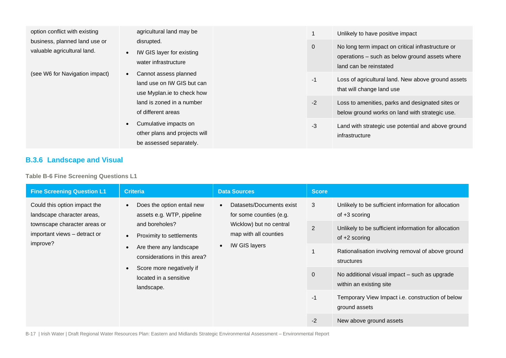| option conflict with existing                                                                                                                                                                                                                               | agricultural land may be                                        |                                                                                 | Unlikely to have positive impact                                                                                              |
|-------------------------------------------------------------------------------------------------------------------------------------------------------------------------------------------------------------------------------------------------------------|-----------------------------------------------------------------|---------------------------------------------------------------------------------|-------------------------------------------------------------------------------------------------------------------------------|
| business, planned land use or<br>valuable agricultural land.                                                                                                                                                                                                | disrupted.<br>IW GIS layer for existing<br>water infrastructure | $\mathbf 0$                                                                     | No long term impact on critical infrastructure or<br>operations – such as below ground assets where<br>land can be reinstated |
| (see W6 for Navigation impact)<br>Cannot assess planned<br>land use on IW GIS but can<br>use Myplan.ie to check how<br>land is zoned in a number<br>of different areas<br>Cumulative impacts on<br>other plans and projects will<br>be assessed separately. | $-1$                                                            | Loss of agricultural land. New above ground assets<br>that will change land use |                                                                                                                               |
|                                                                                                                                                                                                                                                             |                                                                 | $-2$                                                                            | Loss to amenities, parks and designated sites or<br>below ground works on land with strategic use.                            |
|                                                                                                                                                                                                                                                             | $-3$                                                            | Land with strategic use potential and above ground<br>infrastructure            |                                                                                                                               |

#### **B.3.6 Landscape and Visual**

**Table B-6 Fine Screening Questions L1**

| <b>Fine Screening Question L1</b>                                                                                                                                                                                                                                                                                                                                              | <b>Criteria</b>                                                                                                                              | <b>Data Sources</b> | <b>Score</b>                                                            |                                                                          |
|--------------------------------------------------------------------------------------------------------------------------------------------------------------------------------------------------------------------------------------------------------------------------------------------------------------------------------------------------------------------------------|----------------------------------------------------------------------------------------------------------------------------------------------|---------------------|-------------------------------------------------------------------------|--------------------------------------------------------------------------|
| Could this option impact the<br>Does the option entail new<br>assets e.g. WTP, pipeline<br>landscape character areas,<br>and boreholes?<br>townscape character areas or<br>important views - detract or<br>Proximity to settlements<br>improve?<br>Are there any landscape<br>considerations in this area?<br>Score more negatively if<br>located in a sensitive<br>landscape. | Datasets/Documents exist<br>$\bullet$<br>for some counties (e.g.<br>Wicklow) but no central<br>map with all counties<br><b>IW GIS layers</b> | 3                   | Unlikely to be sufficient information for allocation<br>of $+3$ scoring |                                                                          |
|                                                                                                                                                                                                                                                                                                                                                                                |                                                                                                                                              | 2                   | Unlikely to be sufficient information for allocation<br>of $+2$ scoring |                                                                          |
|                                                                                                                                                                                                                                                                                                                                                                                |                                                                                                                                              |                     | Rationalisation involving removal of above ground<br>structures         |                                                                          |
|                                                                                                                                                                                                                                                                                                                                                                                |                                                                                                                                              |                     | $\mathbf{0}$                                                            | No additional visual impact - such as upgrade<br>within an existing site |
|                                                                                                                                                                                                                                                                                                                                                                                |                                                                                                                                              |                     | $-1$                                                                    | Temporary View Impact i.e. construction of below<br>ground assets        |
|                                                                                                                                                                                                                                                                                                                                                                                |                                                                                                                                              |                     | $-2$                                                                    | New above ground assets                                                  |

B-17 | Irish Water | Draft Regional Water Resources Plan: Eastern and Midlands Strategic Environmental Assessment – Environmental Report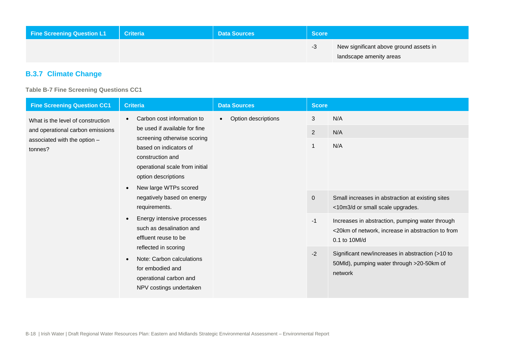| <b>Fine Screening Question L1</b> | <b>Criteria</b> | <b>Data Sources</b> | <b>Score</b> \ |                                                                   |
|-----------------------------------|-----------------|---------------------|----------------|-------------------------------------------------------------------|
|                                   |                 |                     | -3             | New significant above ground assets in<br>landscape amenity areas |

### **B.3.7 Climate Change**

**Table B-7 Fine Screening Questions CC1**

| <b>Fine Screening Question CC1</b>                                                                               | <b>Criteria</b>                                                                                                                                                                                                                                                                                                                                                                                                                                                                                                                               | <b>Data Sources</b>              | <b>Score</b>                                                      |                                                                                                                                                                                                                                                                                                                                                |
|------------------------------------------------------------------------------------------------------------------|-----------------------------------------------------------------------------------------------------------------------------------------------------------------------------------------------------------------------------------------------------------------------------------------------------------------------------------------------------------------------------------------------------------------------------------------------------------------------------------------------------------------------------------------------|----------------------------------|-------------------------------------------------------------------|------------------------------------------------------------------------------------------------------------------------------------------------------------------------------------------------------------------------------------------------------------------------------------------------------------------------------------------------|
| What is the level of construction<br>and operational carbon emissions<br>associated with the option -<br>tonnes? | Carbon cost information to<br>$\bullet$<br>be used if available for fine<br>screening otherwise scoring<br>based on indicators of<br>construction and<br>operational scale from initial<br>option descriptions<br>New large WTPs scored<br>$\bullet$<br>negatively based on energy<br>requirements.<br>Energy intensive processes<br>$\bullet$<br>such as desalination and<br>effluent reuse to be<br>reflected in scoring<br>Note: Carbon calculations<br>$\bullet$<br>for embodied and<br>operational carbon and<br>NPV costings undertaken | Option descriptions<br>$\bullet$ | 3<br>$\overline{2}$<br>$\mathbf 1$<br>$\mathbf 0$<br>$-1$<br>$-2$ | N/A<br>N/A<br>N/A<br>Small increases in abstraction at existing sites<br><10m3/d or small scale upgrades.<br>Increases in abstraction, pumping water through<br><20km of network, increase in abstraction to from<br>0.1 to 10Ml/d<br>Significant new/increases in abstraction (>10 to<br>50Mld), pumping water through >20-50km of<br>network |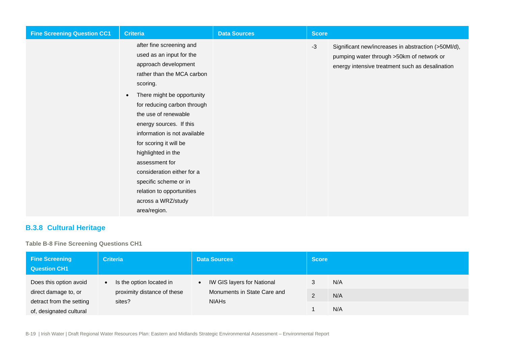| <b>Fine Screening Question CC1</b> | <b>Criteria</b>                                                                                                                                                                                                                                                                                                                                                                                                                                                                 | <b>Data Sources</b> | <b>Score</b> |                                                                                                                                                     |
|------------------------------------|---------------------------------------------------------------------------------------------------------------------------------------------------------------------------------------------------------------------------------------------------------------------------------------------------------------------------------------------------------------------------------------------------------------------------------------------------------------------------------|---------------------|--------------|-----------------------------------------------------------------------------------------------------------------------------------------------------|
|                                    | after fine screening and<br>used as an input for the<br>approach development<br>rather than the MCA carbon<br>scoring.<br>There might be opportunity<br>$\bullet$<br>for reducing carbon through<br>the use of renewable<br>energy sources. If this<br>information is not available<br>for scoring it will be<br>highlighted in the<br>assessment for<br>consideration either for a<br>specific scheme or in<br>relation to opportunities<br>across a WRZ/study<br>area/region. |                     | $-3$         | Significant new/increases in abstraction (>50Ml/d),<br>pumping water through >50km of network or<br>energy intensive treatment such as desalination |

### **B.3.8 Cultural Heritage**

**Table B-8 Fine Screening Questions CH1**

| <b>Fine Screening</b><br><b>Question CH1</b> | <b>Criteria</b>                       | <b>Data Sources</b>                            | <b>Score</b> |     |
|----------------------------------------------|---------------------------------------|------------------------------------------------|--------------|-----|
| Does this option avoid                       | Is the option located in<br>$\bullet$ | <b>IW GIS layers for National</b><br>$\bullet$ |              | N/A |
| direct damage to, or                         | proximity distance of these           | Monuments in State Care and                    | ົ            | N/A |
| detract from the setting                     | sites?                                | <b>NIAHS</b>                                   |              |     |
| of, designated cultural                      |                                       |                                                |              | N/A |

B-19 | Irish Water | Draft Regional Water Resources Plan: Eastern and Midlands Strategic Environmental Assessment – Environmental Report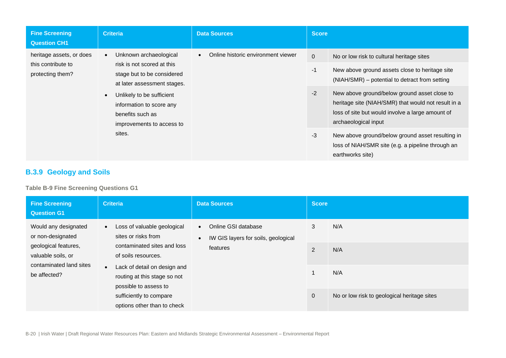| <b>Fine Screening</b><br><b>Question CH1</b>                                                                                                                                                                                                                                                                                          | <b>Criteria</b>                                 | <b>Data Sources</b> | Score                                                                                                                                                                           |                                                                                                                           |
|---------------------------------------------------------------------------------------------------------------------------------------------------------------------------------------------------------------------------------------------------------------------------------------------------------------------------------------|-------------------------------------------------|---------------------|---------------------------------------------------------------------------------------------------------------------------------------------------------------------------------|---------------------------------------------------------------------------------------------------------------------------|
| Unknown archaeological<br>heritage assets, or does<br>$\bullet$<br>risk is not scored at this<br>this contribute to<br>protecting them?<br>stage but to be considered<br>at later assessment stages.<br>Unlikely to be sufficient<br>$\bullet$<br>information to score any<br>benefits such as<br>improvements to access to<br>sites. | Online historic environment viewer<br>$\bullet$ | $\mathbf 0$<br>$-1$ | No or low risk to cultural heritage sites<br>New above ground assets close to heritage site<br>(NIAH/SMR) – potential to detract from setting                                   |                                                                                                                           |
|                                                                                                                                                                                                                                                                                                                                       |                                                 | $-2$                | New above ground/below ground asset close to<br>heritage site (NIAH/SMR) that would not result in a<br>loss of site but would involve a large amount of<br>archaeological input |                                                                                                                           |
|                                                                                                                                                                                                                                                                                                                                       |                                                 |                     | $-3$                                                                                                                                                                            | New above ground/below ground asset resulting in<br>loss of NIAH/SMR site (e.g. a pipeline through an<br>earthworks site) |

## **B.3.9 Geology and Soils**

**Table B-9 Fine Screening Questions G1**

<span id="page-21-0"></span>

| <b>Fine Screening</b><br><b>Question G1</b>            | <b>Criteria</b>                                                                                                                                                                     | <b>Data Sources</b>                                                                  | <b>Score</b>                                |     |
|--------------------------------------------------------|-------------------------------------------------------------------------------------------------------------------------------------------------------------------------------------|--------------------------------------------------------------------------------------|---------------------------------------------|-----|
| Would any designated<br>or non-designated              | Loss of valuable geological<br>$\bullet$<br>sites or risks from                                                                                                                     | Online GSI database<br>$\bullet$<br>IW GIS layers for soils, geological<br>$\bullet$ | 3                                           | N/A |
| geological features,<br>valuable soils, or             | contaminated sites and loss<br>of soils resources.<br>contaminated land sites<br>Lack of detail on design and<br>$\bullet$<br>routing at this stage so not<br>possible to assess to | features                                                                             | 2                                           | N/A |
| be affected?                                           |                                                                                                                                                                                     |                                                                                      | 1                                           | N/A |
| sufficiently to compare<br>options other than to check |                                                                                                                                                                                     | $\overline{0}$                                                                       | No or low risk to geological heritage sites |     |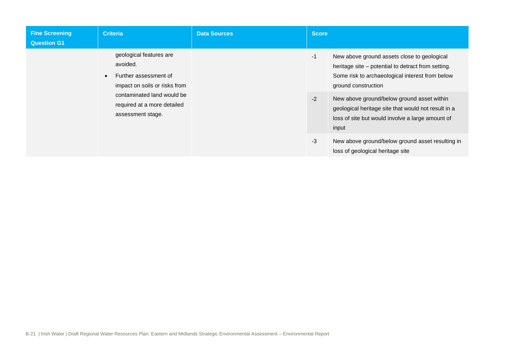| <b>Fine Screening</b><br><b>Question G1</b> | <b>Criteria</b>                                                                                                                                                                              | <b>Data Sources</b> | <b>Score</b> |                                                                                                                                                                                                                                                                                                                                               |
|---------------------------------------------|----------------------------------------------------------------------------------------------------------------------------------------------------------------------------------------------|---------------------|--------------|-----------------------------------------------------------------------------------------------------------------------------------------------------------------------------------------------------------------------------------------------------------------------------------------------------------------------------------------------|
|                                             | geological features are<br>avoided.<br>Further assessment of<br>$\bullet$<br>impact on soils or risks from<br>contaminated land would be<br>required at a more detailed<br>assessment stage. |                     | $-1$<br>$-2$ | New above ground assets close to geological<br>heritage site - potential to detract from setting.<br>Some risk to archaeological interest from below<br>ground construction<br>New above ground/below ground asset within<br>geological heritage site that would not result in a<br>loss of site but would involve a large amount of<br>input |
|                                             |                                                                                                                                                                                              |                     | $-3$         | New above ground/below ground asset resulting in<br>loss of geological heritage site                                                                                                                                                                                                                                                          |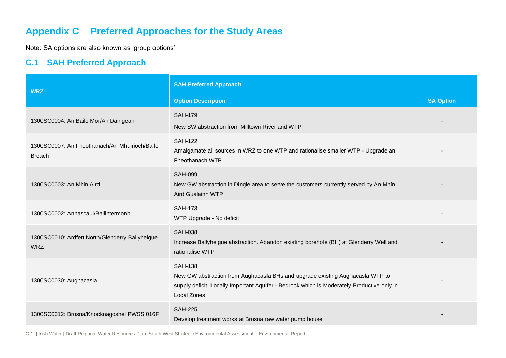# **Appendix C Preferred Approaches for the Study Areas**

Note: SA options are also known as 'group options'

## **C.1 SAH Preferred Approach**

| <b>WRZ</b>                                                     | <b>SAH Preferred Approach</b>                                                                                                                                                                                |                  |  |
|----------------------------------------------------------------|--------------------------------------------------------------------------------------------------------------------------------------------------------------------------------------------------------------|------------------|--|
|                                                                | <b>Option Description</b>                                                                                                                                                                                    | <b>SA Option</b> |  |
| 1300SC0004: An Baile Mor/An Daingean                           | <b>SAH-179</b><br>New SW abstraction from Milltown River and WTP                                                                                                                                             |                  |  |
| 1300SC0007: An Fheothanach/An Mhuirioch/Baile<br><b>Breach</b> | <b>SAH-122</b><br>Amalgamate all sources in WRZ to one WTP and rationalise smaller WTP - Upgrade an<br>Fheothanach WTP                                                                                       |                  |  |
| 1300SC0003: An Mhin Aird                                       | <b>SAH-099</b><br>New GW abstraction in Dingle area to serve the customers currently served by An Mhín<br><b>Aird Gualainn WTP</b>                                                                           |                  |  |
| 1300SC0002: Annascaul/Ballintermonb                            | <b>SAH-173</b><br>WTP Upgrade - No deficit                                                                                                                                                                   |                  |  |
| 1300SC0010: Ardfert North/Glenderry Ballyheigue<br><b>WRZ</b>  | <b>SAH-038</b><br>Increase Ballyheigue abstraction. Abandon existing borehole (BH) at Glenderry Well and<br>rationalise WTP                                                                                  |                  |  |
| 1300SC0030: Aughacasla                                         | <b>SAH-138</b><br>New GW abstraction from Aughacasla BHs and upgrade existing Aughacasla WTP to<br>supply deficit. Locally Important Aquifer - Bedrock which is Moderately Productive only in<br>Local Zones |                  |  |
| 1300SC0012: Brosna/Knocknagoshel PWSS 016F                     | <b>SAH-225</b><br>Develop treatment works at Brosna raw water pump house                                                                                                                                     |                  |  |

C-1 | Irish Water | Draft Regional Water Resources Plan: South West Strategic Environmental Assessment – Environmental Report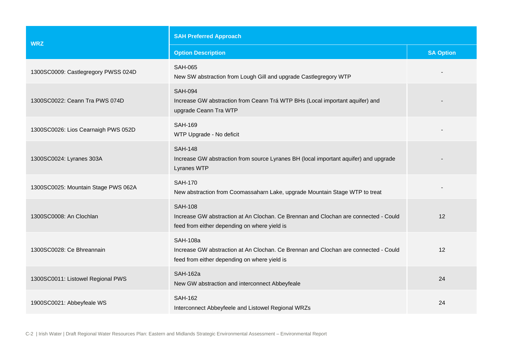| <b>WRZ</b>                          | <b>SAH Preferred Approach</b>                                                                                                                          |                  |  |
|-------------------------------------|--------------------------------------------------------------------------------------------------------------------------------------------------------|------------------|--|
|                                     | <b>Option Description</b>                                                                                                                              | <b>SA Option</b> |  |
| 1300SC0009: Castlegregory PWSS 024D | <b>SAH-065</b><br>New SW abstraction from Lough Gill and upgrade Castlegregory WTP                                                                     |                  |  |
| 1300SC0022: Ceann Tra PWS 074D      | <b>SAH-094</b><br>Increase GW abstraction from Ceann Trá WTP BHs (Local important aquifer) and<br>upgrade Ceann Tra WTP                                |                  |  |
| 1300SC0026: Lios Cearnaigh PWS 052D | <b>SAH-169</b><br>WTP Upgrade - No deficit                                                                                                             |                  |  |
| 1300SC0024: Lyranes 303A            | <b>SAH-148</b><br>Increase GW abstraction from source Lyranes BH (local important aquifer) and upgrade<br>Lyranes WTP                                  |                  |  |
| 1300SC0025: Mountain Stage PWS 062A | <b>SAH-170</b><br>New abstraction from Coomassaharn Lake, upgrade Mountain Stage WTP to treat                                                          |                  |  |
| 1300SC0008: An Clochlan             | <b>SAH-108</b><br>Increase GW abstraction at An Clochan. Ce Brennan and Clochan are connected - Could<br>feed from either depending on where yield is  | 12               |  |
| 1300SC0028: Ce Bhreannain           | <b>SAH-108a</b><br>Increase GW abstraction at An Clochan. Ce Brennan and Clochan are connected - Could<br>feed from either depending on where yield is | 12               |  |
| 1300SC0011: Listowel Regional PWS   | <b>SAH-162a</b><br>New GW abstraction and interconnect Abbeyfeale                                                                                      | 24               |  |
| 1900SC0021: Abbeyfeale WS           | <b>SAH-162</b><br>Interconnect Abbeyfeele and Listowel Regional WRZs                                                                                   | 24               |  |

C-2 | Irish Water | Draft Regional Water Resources Plan: Eastern and Midlands Strategic Environmental Assessment – Environmental Report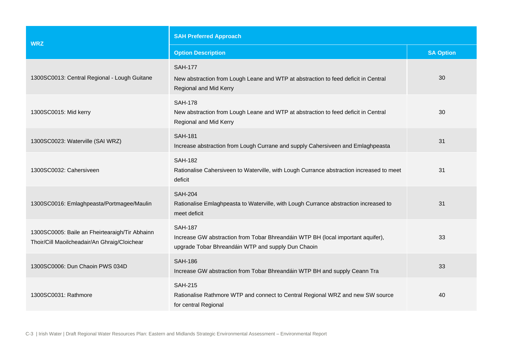| <b>WRZ</b>                                                                                     | <b>SAH Preferred Approach</b>                                                                                                                           |                  |  |
|------------------------------------------------------------------------------------------------|---------------------------------------------------------------------------------------------------------------------------------------------------------|------------------|--|
|                                                                                                | <b>Option Description</b>                                                                                                                               | <b>SA Option</b> |  |
| 1300SC0013: Central Regional - Lough Guitane                                                   | <b>SAH-177</b><br>New abstraction from Lough Leane and WTP at abstraction to feed deficit in Central<br>Regional and Mid Kerry                          | 30               |  |
| 1300SC0015: Mid kerry                                                                          | <b>SAH-178</b><br>New abstraction from Lough Leane and WTP at abstraction to feed deficit in Central<br>Regional and Mid Kerry                          | 30               |  |
| 1300SC0023: Waterville (SAI WRZ)                                                               | <b>SAH-181</b><br>Increase abstraction from Lough Currane and supply Cahersiveen and Emlaghpeasta                                                       | 31               |  |
| 1300SC0032: Cahersiveen                                                                        | <b>SAH-182</b><br>Rationalise Cahersiveen to Waterville, with Lough Currance abstraction increased to meet<br>deficit                                   | 31               |  |
| 1300SC0016: Emlaghpeasta/Portmagee/Maulin                                                      | <b>SAH-204</b><br>Rationalise Emlaghpeasta to Waterville, with Lough Currance abstraction increased to<br>meet deficit                                  | 31               |  |
| 1300SC0005: Baile an Fheirtearaigh/Tir Abhainn<br>Thoir/Cill Maoilcheadair/An Ghraig/Cloichear | <b>SAH-187</b><br>Increase GW abstraction from Tobar Bhreandáin WTP BH (local important aquifer),<br>upgrade Tobar Bhreandáin WTP and supply Dun Chaoin | 33               |  |
| 1300SC0006: Dun Chaoin PWS 034D                                                                | <b>SAH-186</b><br>Increase GW abstraction from Tobar Bhreandáin WTP BH and supply Ceann Tra                                                             | 33               |  |
| 1300SC0031: Rathmore                                                                           | <b>SAH-215</b><br>Rationalise Rathmore WTP and connect to Central Regional WRZ and new SW source<br>for central Regional                                | 40               |  |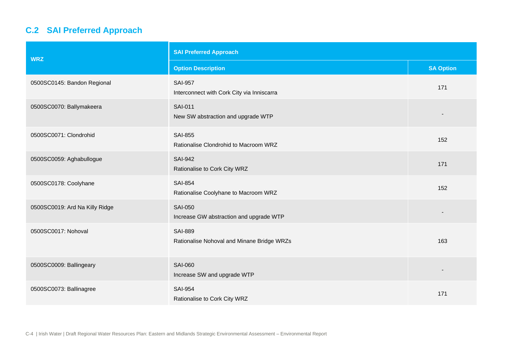# **C.2 SAI Preferred Approach**

| <b>WRZ</b>                     | <b>SAI Preferred Approach</b>                                |                  |  |
|--------------------------------|--------------------------------------------------------------|------------------|--|
|                                | <b>Option Description</b>                                    | <b>SA Option</b> |  |
| 0500SC0145: Bandon Regional    | <b>SAI-957</b><br>Interconnect with Cork City via Inniscarra | 171              |  |
| 0500SC0070: Ballymakeera       | <b>SAI-011</b><br>New SW abstraction and upgrade WTP         |                  |  |
| 0500SC0071: Clondrohid         | <b>SAI-855</b><br>Rationalise Clondrohid to Macroom WRZ      | 152              |  |
| 0500SC0059: Aghabullogue       | <b>SAI-942</b><br>Rationalise to Cork City WRZ               | 171              |  |
| 0500SC0178: Coolyhane          | <b>SAI-854</b><br>Rationalise Coolyhane to Macroom WRZ       | 152              |  |
| 0500SC0019: Ard Na Killy Ridge | <b>SAI-050</b><br>Increase GW abstraction and upgrade WTP    |                  |  |
| 0500SC0017: Nohoval            | <b>SAI-889</b><br>Rationalise Nohoval and Minane Bridge WRZs | 163              |  |
| 0500SC0009: Ballingeary        | <b>SAI-060</b><br>Increase SW and upgrade WTP                |                  |  |
| 0500SC0073: Ballinagree        | <b>SAI-954</b><br>Rationalise to Cork City WRZ               | 171              |  |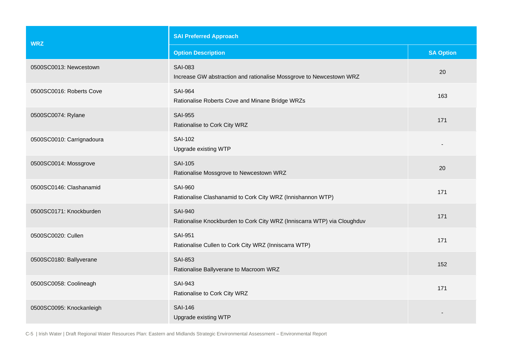| <b>WRZ</b>                | <b>SAI Preferred Approach</b>                                                             |                  |  |
|---------------------------|-------------------------------------------------------------------------------------------|------------------|--|
|                           | <b>Option Description</b>                                                                 | <b>SA Option</b> |  |
| 0500SC0013: Newcestown    | <b>SAI-083</b><br>Increase GW abstraction and rationalise Mossgrove to Newcestown WRZ     | 20               |  |
| 0500SC0016: Roberts Cove  | <b>SAI-964</b><br>Rationalise Roberts Cove and Minane Bridge WRZs                         | 163              |  |
| 0500SC0074: Rylane        | <b>SAI-955</b><br>Rationalise to Cork City WRZ                                            | 171              |  |
| 0500SC0010: Carrignadoura | <b>SAI-102</b><br>Upgrade existing WTP                                                    |                  |  |
| 0500SC0014: Mossgrove     | <b>SAI-105</b><br>Rationalise Mossgrove to Newcestown WRZ                                 | 20               |  |
| 0500SC0146: Clashanamid   | <b>SAI-960</b><br>Rationalise Clashanamid to Cork City WRZ (Innishannon WTP)              | 171              |  |
| 0500SC0171: Knockburden   | <b>SAI-940</b><br>Rationalise Knockburden to Cork City WRZ (Inniscarra WTP) via Cloughduv | 171              |  |
| 0500SC0020: Cullen        | <b>SAI-951</b><br>Rationalise Cullen to Cork City WRZ (Inniscarra WTP)                    | 171              |  |
| 0500SC0180: Ballyverane   | <b>SAI-853</b><br>Rationalise Ballyverane to Macroom WRZ                                  | 152              |  |
| 0500SC0058: Coolineagh    | <b>SAI-943</b><br>Rationalise to Cork City WRZ                                            | 171              |  |
| 0500SC0095: Knockanleigh  | <b>SAI-146</b><br>Upgrade existing WTP                                                    |                  |  |

C-5 | Irish Water | Draft Regional Water Resources Plan: Eastern and Midlands Strategic Environmental Assessment – Environmental Report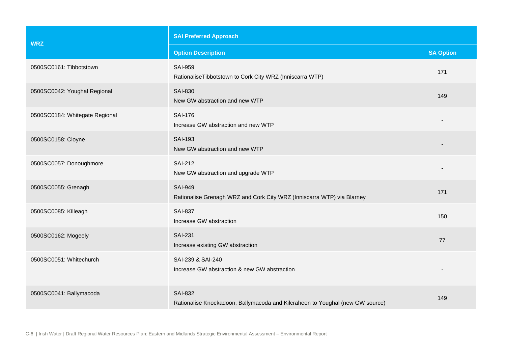| <b>WRZ</b>                     | <b>SAI Preferred Approach</b>                                                                   |                  |  |
|--------------------------------|-------------------------------------------------------------------------------------------------|------------------|--|
|                                | <b>Option Description</b>                                                                       | <b>SA Option</b> |  |
| 0500SC0161: Tibbotstown        | <b>SAI-959</b><br>RationaliseTibbotstown to Cork City WRZ (Inniscarra WTP)                      | 171              |  |
| 0500SC0042: Youghal Regional   | <b>SAI-830</b><br>New GW abstraction and new WTP                                                | 149              |  |
| 0500SC0184: Whitegate Regional | <b>SAI-176</b><br>Increase GW abstraction and new WTP                                           |                  |  |
| 0500SC0158: Cloyne             | <b>SAI-193</b><br>New GW abstraction and new WTP                                                |                  |  |
| 0500SC0057: Donoughmore        | <b>SAI-212</b><br>New GW abstraction and upgrade WTP                                            |                  |  |
| 0500SC0055: Grenagh            | <b>SAI-949</b><br>Rationalise Grenagh WRZ and Cork City WRZ (Inniscarra WTP) via Blarney        | 171              |  |
| 0500SC0085: Killeagh           | <b>SAI-837</b><br>Increase GW abstraction                                                       | 150              |  |
| 0500SC0162: Mogeely            | <b>SAI-231</b><br>Increase existing GW abstraction                                              | 77               |  |
| 0500SC0051: Whitechurch        | SAI-239 & SAI-240<br>Increase GW abstraction & new GW abstraction                               |                  |  |
| 0500SC0041: Ballymacoda        | <b>SAI-832</b><br>Rationalise Knockadoon, Ballymacoda and Kilcraheen to Youghal (new GW source) | 149              |  |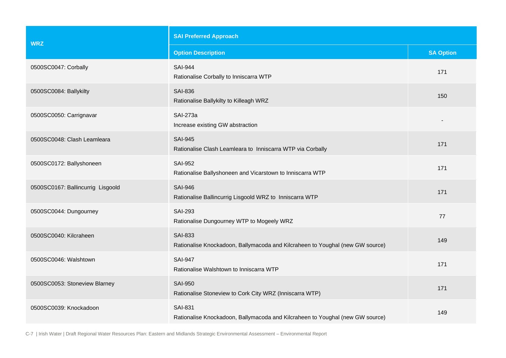| <b>WRZ</b>                        | <b>SAI Preferred Approach</b>                                                                   |                  |  |
|-----------------------------------|-------------------------------------------------------------------------------------------------|------------------|--|
|                                   | <b>Option Description</b>                                                                       | <b>SA Option</b> |  |
| 0500SC0047: Corbally              | <b>SAI-944</b><br>Rationalise Corbally to Inniscarra WTP                                        | 171              |  |
| 0500SC0084: Ballykilty            | <b>SAI-836</b><br>Rationalise Ballykilty to Killeagh WRZ                                        | 150              |  |
| 0500SC0050: Carrignavar           | <b>SAI-273a</b><br>Increase existing GW abstraction                                             |                  |  |
| 0500SC0048: Clash Leamleara       | <b>SAI-945</b><br>Rationalise Clash Leamleara to Inniscarra WTP via Corbally                    | 171              |  |
| 0500SC0172: Ballyshoneen          | <b>SAI-952</b><br>Rationalise Ballyshoneen and Vicarstown to Inniscarra WTP                     | 171              |  |
| 0500SC0167: Ballincurrig Lisgoold | <b>SAI-946</b><br>Rationalise Ballincurrig Lisgoold WRZ to Inniscarra WTP                       | 171              |  |
| 0500SC0044: Dungourney            | <b>SAI-293</b><br>Rationalise Dungourney WTP to Mogeely WRZ                                     | 77               |  |
| 0500SC0040: Kilcraheen            | <b>SAI-833</b><br>Rationalise Knockadoon, Ballymacoda and Kilcraheen to Youghal (new GW source) | 149              |  |
| 0500SC0046: Walshtown             | <b>SAI-947</b><br>Rationalise Walshtown to Inniscarra WTP                                       | 171              |  |
| 0500SC0053: Stoneview Blarney     | <b>SAI-950</b><br>Rationalise Stoneview to Cork City WRZ (Inniscarra WTP)                       | 171              |  |
| 0500SC0039: Knockadoon            | <b>SAI-831</b><br>Rationalise Knockadoon, Ballymacoda and Kilcraheen to Youghal (new GW source) | 149              |  |

C-7 | Irish Water | Draft Regional Water Resources Plan: Eastern and Midlands Strategic Environmental Assessment – Environmental Report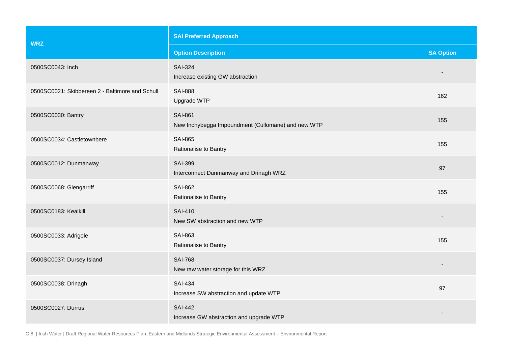| <b>WRZ</b>                                      | <b>SAI Preferred Approach</b>                                        |                          |  |
|-------------------------------------------------|----------------------------------------------------------------------|--------------------------|--|
|                                                 | <b>Option Description</b>                                            | <b>SA Option</b>         |  |
| 0500SC0043: Inch                                | <b>SAI-324</b><br>Increase existing GW abstraction                   | $\overline{\phantom{a}}$ |  |
| 0500SC0021: Skibbereen 2 - Baltimore and Schull | <b>SAI-888</b><br>Upgrade WTP                                        | 162                      |  |
| 0500SC0030: Bantry                              | <b>SAI-861</b><br>New Inchybegga Impoundment (Cullomane) and new WTP | 155                      |  |
| 0500SC0034: Castletownbere                      | <b>SAI-865</b><br>Rationalise to Bantry                              | 155                      |  |
| 0500SC0012: Dunmanway                           | <b>SAI-399</b><br>Interconnect Dunmanway and Drinagh WRZ             | 97                       |  |
| 0500SC0068: Glengarriff                         | <b>SAI-862</b><br>Rationalise to Bantry                              | 155                      |  |
| 0500SC0183: Kealkill                            | <b>SAI-410</b><br>New SW abstraction and new WTP                     |                          |  |
| 0500SC0033: Adrigole                            | SAI-863<br>Rationalise to Bantry                                     | 155                      |  |
| 0500SC0037: Dursey Island                       | <b>SAI-768</b><br>New raw water storage for this WRZ                 |                          |  |
| 0500SC0038: Drinagh                             | <b>SAI-434</b><br>Increase SW abstraction and update WTP             | 97                       |  |
| 0500SC0027: Durrus                              | <b>SAI-442</b><br>Increase GW abstraction and upgrade WTP            |                          |  |

C-8 | Irish Water | Draft Regional Water Resources Plan: Eastern and Midlands Strategic Environmental Assessment – Environmental Report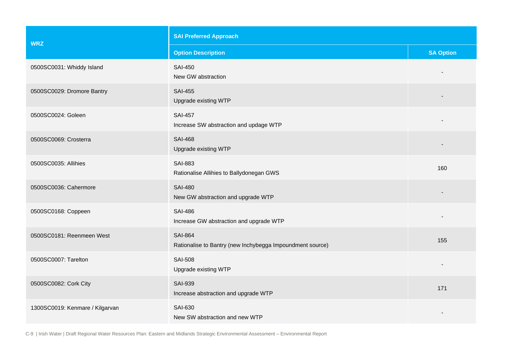| <b>WRZ</b>                      | <b>SAI Preferred Approach</b>                                               |                  |  |
|---------------------------------|-----------------------------------------------------------------------------|------------------|--|
|                                 | <b>Option Description</b>                                                   | <b>SA Option</b> |  |
| 0500SC0031: Whiddy Island       | <b>SAI-450</b><br>New GW abstraction                                        |                  |  |
| 0500SC0029: Dromore Bantry      | <b>SAI-455</b><br>Upgrade existing WTP                                      |                  |  |
| 0500SC0024: Goleen              | <b>SAI-457</b><br>Increase SW abstraction and updage WTP                    |                  |  |
| 0500SC0069: Crosterra           | <b>SAI-468</b><br>Upgrade existing WTP                                      |                  |  |
| 0500SC0035: Allihies            | <b>SAI-883</b><br>Rationalise Allihies to Ballydonegan GWS                  | 160              |  |
| 0500SC0036: Cahermore           | <b>SAI-480</b><br>New GW abstraction and upgrade WTP                        |                  |  |
| 0500SC0168: Coppeen             | <b>SAI-486</b><br>Increase GW abstraction and upgrade WTP                   |                  |  |
| 0500SC0181: Reenmeen West       | <b>SAI-864</b><br>Rationalise to Bantry (new Inchybegga Impoundment source) | 155              |  |
| 0500SC0007: Tarelton            | <b>SAI-508</b><br>Upgrade existing WTP                                      |                  |  |
| 0500SC0082: Cork City           | <b>SAI-939</b><br>Increase abstraction and upgrade WTP                      | 171              |  |
| 1300SC0019: Kenmare / Kilgarvan | <b>SAI-630</b><br>New SW abstraction and new WTP                            |                  |  |

C-9 | Irish Water | Draft Regional Water Resources Plan: Eastern and Midlands Strategic Environmental Assessment – Environmental Report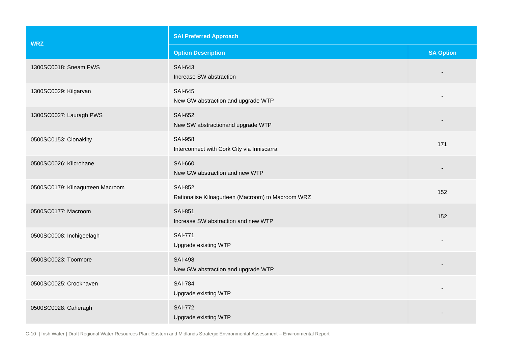| <b>WRZ</b>                       | <b>SAI Preferred Approach</b>                                       |                  |  |
|----------------------------------|---------------------------------------------------------------------|------------------|--|
|                                  | <b>Option Description</b>                                           | <b>SA Option</b> |  |
| 1300SC0018: Sneam PWS            | <b>SAI-643</b><br>Increase SW abstraction                           |                  |  |
| 1300SC0029: Kilgarvan            | <b>SAI-645</b><br>New GW abstraction and upgrade WTP                |                  |  |
| 1300SC0027: Lauragh PWS          | <b>SAI-652</b><br>New SW abstractionand upgrade WTP                 |                  |  |
| 0500SC0153: Clonakilty           | <b>SAI-958</b><br>Interconnect with Cork City via Inniscarra        | 171              |  |
| 0500SC0026: Kilcrohane           | <b>SAI-660</b><br>New GW abstraction and new WTP                    |                  |  |
| 0500SC0179: Kilnagurteen Macroom | <b>SAI-852</b><br>Rationalise Kilnagurteen (Macroom) to Macroom WRZ | 152              |  |
| 0500SC0177: Macroom              | <b>SAI-851</b><br>Increase SW abstraction and new WTP               | 152              |  |
| 0500SC0008: Inchigeelagh         | <b>SAI-771</b><br>Upgrade existing WTP                              |                  |  |
| 0500SC0023: Toormore             | <b>SAI-498</b><br>New GW abstraction and upgrade WTP                |                  |  |
| 0500SC0025: Crookhaven           | <b>SAI-784</b><br>Upgrade existing WTP                              |                  |  |
| 0500SC0028: Caheragh             | <b>SAI-772</b><br>Upgrade existing WTP                              |                  |  |

C-10 | Irish Water | Draft Regional Water Resources Plan: Eastern and Midlands Strategic Environmental Assessment – Environmental Report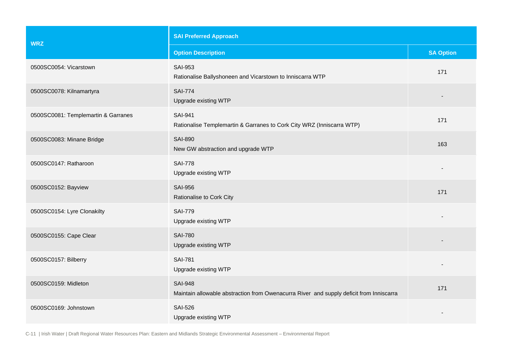| <b>WRZ</b>                          | <b>SAI Preferred Approach</b>                                                                             |                  |  |
|-------------------------------------|-----------------------------------------------------------------------------------------------------------|------------------|--|
|                                     | <b>Option Description</b>                                                                                 | <b>SA Option</b> |  |
| 0500SC0054: Vicarstown              | <b>SAI-953</b><br>Rationalise Ballyshoneen and Vicarstown to Inniscarra WTP                               | 171              |  |
| 0500SC0078: Kilnamartyra            | <b>SAI-774</b><br>Upgrade existing WTP                                                                    |                  |  |
| 0500SC0081: Templemartin & Garranes | <b>SAI-941</b><br>Rationalise Templemartin & Garranes to Cork City WRZ (Inniscarra WTP)                   | 171              |  |
| 0500SC0083: Minane Bridge           | <b>SAI-890</b><br>New GW abstraction and upgrade WTP                                                      | 163              |  |
| 0500SC0147: Ratharoon               | <b>SAI-778</b><br>Upgrade existing WTP                                                                    |                  |  |
| 0500SC0152: Bayview                 | <b>SAI-956</b><br>Rationalise to Cork City                                                                | 171              |  |
| 0500SC0154: Lyre Clonakilty         | <b>SAI-779</b><br>Upgrade existing WTP                                                                    |                  |  |
| 0500SC0155: Cape Clear              | <b>SAI-780</b><br>Upgrade existing WTP                                                                    |                  |  |
| 0500SC0157: Bilberry                | <b>SAI-781</b><br>Upgrade existing WTP                                                                    |                  |  |
| 0500SC0159: Midleton                | <b>SAI-948</b><br>Maintain allowable abstraction from Owenacurra River and supply deficit from Inniscarra | 171              |  |
| 0500SC0169: Johnstown               | <b>SAI-526</b><br>Upgrade existing WTP                                                                    |                  |  |

C-11 | Irish Water | Draft Regional Water Resources Plan: Eastern and Midlands Strategic Environmental Assessment – Environmental Report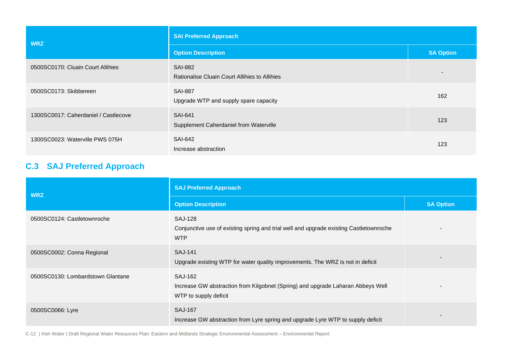| <b>WRZ</b>                           | <b>SAI Preferred Approach</b>                                   |                  |  |
|--------------------------------------|-----------------------------------------------------------------|------------------|--|
|                                      | <b>Option Description</b>                                       | <b>SA Option</b> |  |
| 0500SC0170: Cluain Court Allihies    | <b>SAI-882</b><br>Rationalise Cluain Court Allihies to Allihies | $\qquad \qquad$  |  |
| 0500SC0173: Skibbereen               | <b>SAI-887</b><br>Upgrade WTP and supply spare capacity         | 162              |  |
| 1300SC0017: Caherdaniel / Castlecove | <b>SAI-641</b><br>Supplement Caherdaniel from Waterville        | 123              |  |
| 1300SC0023: Waterville PWS 075H      | <b>SAI-642</b><br>Increase abstraction                          | 123              |  |

# **C.3 SAJ Preferred Approach**

| <b>WRZ</b>                        | <b>SAJ Preferred Approach</b>                                                                                          |                  |  |
|-----------------------------------|------------------------------------------------------------------------------------------------------------------------|------------------|--|
|                                   | <b>Option Description</b>                                                                                              | <b>SA Option</b> |  |
| 0500SC0124: Castletownroche       | <b>SAJ-128</b><br>Conjunctive use of existing spring and trial well and upgrade existing Castletownroche<br><b>WTP</b> |                  |  |
| 0500SC0002: Conna Regional        | <b>SAJ-141</b><br>Upgrade existing WTP for water quality improvements. The WRZ is not in deficit                       |                  |  |
| 0500SC0130: Lombardstown Glantane | SAJ-162<br>Increase GW abstraction from Kilgobnet (Spring) and upgrade Laharan Abbeys Well<br>WTP to supply deficit    |                  |  |
| 0500SC0066: Lyre                  | <b>SAJ-167</b><br>Increase GW abstraction from Lyre spring and upgrade Lyre WTP to supply deficit                      |                  |  |

C-12 | Irish Water | Draft Regional Water Resources Plan: Eastern and Midlands Strategic Environmental Assessment – Environmental Report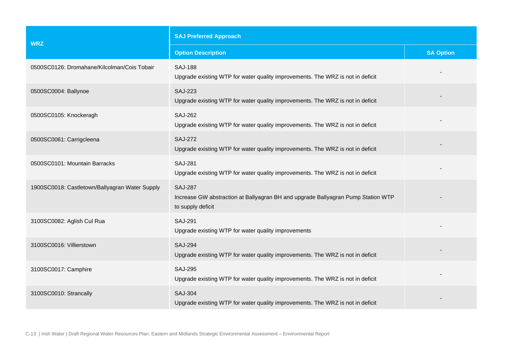| <b>WRZ</b>                                     | <b>SAJ Preferred Approach</b>                                                                                           |                  |  |
|------------------------------------------------|-------------------------------------------------------------------------------------------------------------------------|------------------|--|
|                                                | <b>Option Description</b>                                                                                               | <b>SA Option</b> |  |
| 0500SC0126: Dromahane/Kilcolman/Cois Tobair    | <b>SAJ-188</b><br>Upgrade existing WTP for water quality improvements. The WRZ is not in deficit                        |                  |  |
| 0500SC0004: Ballynoe                           | <b>SAJ-223</b><br>Upgrade existing WTP for water quality improvements. The WRZ is not in deficit                        |                  |  |
| 0500SC0105: Knockeragh                         | <b>SAJ-262</b><br>Upgrade existing WTP for water quality improvements. The WRZ is not in deficit                        |                  |  |
| 0500SC0061: Carrigcleena                       | <b>SAJ-272</b><br>Upgrade existing WTP for water quality improvements. The WRZ is not in deficit                        |                  |  |
| 0500SC0101: Mountain Barracks                  | <b>SAJ-281</b><br>Upgrade existing WTP for water quality improvements. The WRZ is not in deficit                        |                  |  |
| 1900SC0018: Castletown/Ballyagran Water Supply | <b>SAJ-287</b><br>Increase GW abstraction at Ballyagran BH and upgrade Ballyagran Pump Station WTP<br>to supply deficit |                  |  |
| 3100SC0082: Aglish Cul Rua                     | <b>SAJ-291</b><br>Upgrade existing WTP for water quality improvements                                                   |                  |  |
| 3100SC0016: Villierstown                       | <b>SAJ-294</b><br>Upgrade existing WTP for water quality improvements. The WRZ is not in deficit                        |                  |  |
| 3100SC0017: Camphire                           | <b>SAJ-295</b><br>Upgrade existing WTP for water quality improvements. The WRZ is not in deficit                        |                  |  |
| 3100SC0010: Strancally                         | <b>SAJ-304</b><br>Upgrade existing WTP for water quality improvements. The WRZ is not in deficit                        |                  |  |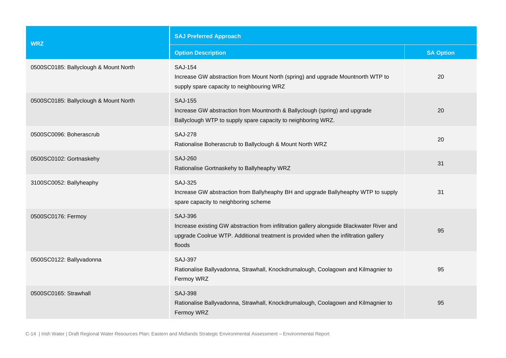| <b>WRZ</b>                            | <b>SAJ Preferred Approach</b>                                                                                                                                                                                |                  |  |
|---------------------------------------|--------------------------------------------------------------------------------------------------------------------------------------------------------------------------------------------------------------|------------------|--|
|                                       | <b>Option Description</b>                                                                                                                                                                                    | <b>SA Option</b> |  |
| 0500SC0185: Ballyclough & Mount North | <b>SAJ-154</b><br>Increase GW abstraction from Mount North (spring) and upgrade Mountnorth WTP to<br>supply spare capacity to neighbouring WRZ                                                               | 20               |  |
| 0500SC0185: Ballyclough & Mount North | <b>SAJ-155</b><br>Increase GW abstraction from Mountnorth & Ballyclough (spring) and upgrade<br>Ballyclough WTP to supply spare capacity to neighboring WRZ.                                                 | 20               |  |
| 0500SC0096: Boherascrub               | <b>SAJ-278</b><br>Rationalise Boherascrub to Ballyclough & Mount North WRZ                                                                                                                                   | 20               |  |
| 0500SC0102: Gortnaskehy               | <b>SAJ-260</b><br>Rationalise Gortnaskehy to Ballyheaphy WRZ                                                                                                                                                 | 31               |  |
| 3100SC0052: Ballyheaphy               | <b>SAJ-325</b><br>Increase GW abstraction from Ballyheaphy BH and upgrade Ballyheaphy WTP to supply<br>spare capacity to neighboring scheme                                                                  | 31               |  |
| 0500SC0176: Fermoy                    | <b>SAJ-396</b><br>Increase existing GW abstraction from infiltration gallery alongside Blackwater River and<br>upgrade Coolrue WTP. Additional treatment is provided when the infiltration gallery<br>floods | 95               |  |
| 0500SC0122: Ballyvadonna              | <b>SAJ-397</b><br>Rationalise Ballyvadonna, Strawhall, Knockdrumalough, Coolagown and Kilmagnier to<br>Fermoy WRZ                                                                                            | 95               |  |
| 0500SC0165: Strawhall                 | <b>SAJ-398</b><br>Rationalise Ballyvadonna, Strawhall, Knockdrumalough, Coolagown and Kilmagnier to<br>Fermoy WRZ                                                                                            | 95               |  |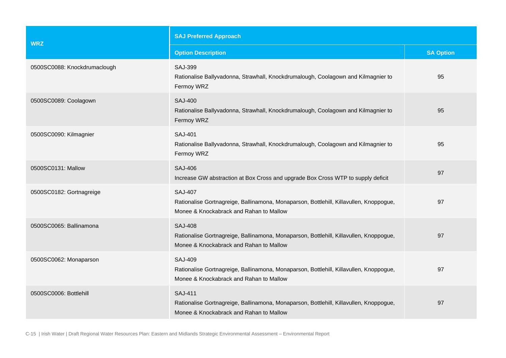| <b>WRZ</b>                   | <b>SAJ Preferred Approach</b>                                                                                                                       |                  |  |
|------------------------------|-----------------------------------------------------------------------------------------------------------------------------------------------------|------------------|--|
|                              | <b>Option Description</b>                                                                                                                           | <b>SA Option</b> |  |
| 0500SC0088: Knockdrumaclough | <b>SAJ-399</b><br>Rationalise Ballyvadonna, Strawhall, Knockdrumalough, Coolagown and Kilmagnier to<br>Fermoy WRZ                                   | 95               |  |
| 0500SC0089: Coolagown        | <b>SAJ-400</b><br>Rationalise Ballyvadonna, Strawhall, Knockdrumalough, Coolagown and Kilmagnier to<br>Fermoy WRZ                                   | 95               |  |
| 0500SC0090: Kilmagnier       | <b>SAJ-401</b><br>Rationalise Ballyvadonna, Strawhall, Knockdrumalough, Coolagown and Kilmagnier to<br>Fermoy WRZ                                   | 95               |  |
| 0500SC0131: Mallow           | <b>SAJ-406</b><br>Increase GW abstraction at Box Cross and upgrade Box Cross WTP to supply deficit                                                  | 97               |  |
| 0500SC0182: Gortnagreige     | <b>SAJ-407</b><br>Rationalise Gortnagreige, Ballinamona, Monaparson, Bottlehill, Killavullen, Knoppogue,<br>Monee & Knockabrack and Rahan to Mallow | 97               |  |
| 0500SC0065: Ballinamona      | <b>SAJ-408</b><br>Rationalise Gortnagreige, Ballinamona, Monaparson, Bottlehill, Killavullen, Knoppogue,<br>Monee & Knockabrack and Rahan to Mallow | 97               |  |
| 0500SC0062: Monaparson       | <b>SAJ-409</b><br>Rationalise Gortnagreige, Ballinamona, Monaparson, Bottlehill, Killavullen, Knoppogue,<br>Monee & Knockabrack and Rahan to Mallow | 97               |  |
| 0500SC0006: Bottlehill       | <b>SAJ-411</b><br>Rationalise Gortnagreige, Ballinamona, Monaparson, Bottlehill, Killavullen, Knoppogue,<br>Monee & Knockabrack and Rahan to Mallow | 97               |  |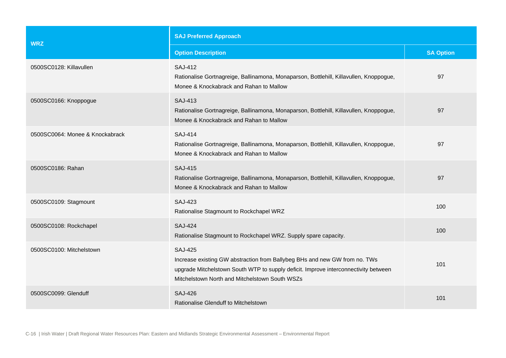| <b>WRZ</b>                      | <b>SAJ Preferred Approach</b>                                                                                                                                                                                                         |                  |  |
|---------------------------------|---------------------------------------------------------------------------------------------------------------------------------------------------------------------------------------------------------------------------------------|------------------|--|
|                                 | <b>Option Description</b>                                                                                                                                                                                                             | <b>SA Option</b> |  |
| 0500SC0128: Killavullen         | <b>SAJ-412</b><br>Rationalise Gortnagreige, Ballinamona, Monaparson, Bottlehill, Killavullen, Knoppogue,<br>Monee & Knockabrack and Rahan to Mallow                                                                                   | 97               |  |
| 0500SC0166: Knoppogue           | SAJ-413<br>Rationalise Gortnagreige, Ballinamona, Monaparson, Bottlehill, Killavullen, Knoppogue,<br>Monee & Knockabrack and Rahan to Mallow                                                                                          | 97               |  |
| 0500SC0064: Monee & Knockabrack | <b>SAJ-414</b><br>Rationalise Gortnagreige, Ballinamona, Monaparson, Bottlehill, Killavullen, Knoppogue,<br>Monee & Knockabrack and Rahan to Mallow                                                                                   | 97               |  |
| 0500SC0186: Rahan               | <b>SAJ-415</b><br>Rationalise Gortnagreige, Ballinamona, Monaparson, Bottlehill, Killavullen, Knoppogue,<br>Monee & Knockabrack and Rahan to Mallow                                                                                   | 97               |  |
| 0500SC0109: Stagmount           | <b>SAJ-423</b><br>Rationalise Stagmount to Rockchapel WRZ                                                                                                                                                                             | 100              |  |
| 0500SC0108: Rockchapel          | <b>SAJ-424</b><br>Rationalise Stagmount to Rockchapel WRZ. Supply spare capacity.                                                                                                                                                     | 100              |  |
| 0500SC0100: Mitchelstown        | <b>SAJ-425</b><br>Increase existing GW abstraction from Ballybeg BHs and new GW from no. TWs<br>upgrade Mitchelstown South WTP to supply deficit. Improve interconnectivity between<br>Mitchelstown North and Mitchelstown South WSZs | 101              |  |
| 0500SC0099: Glenduff            | <b>SAJ-426</b><br>Rationalise Glenduff to Mitchelstown                                                                                                                                                                                | 101              |  |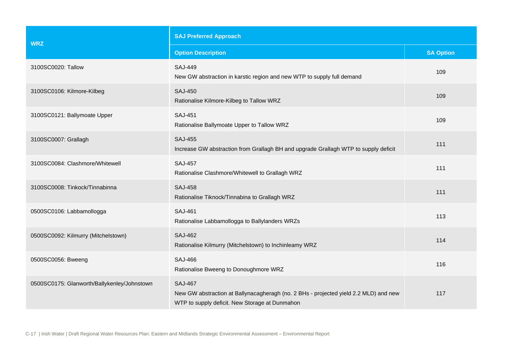| <b>WRZ</b>                                  | <b>SAJ Preferred Approach</b>                                                                                                                            |                  |  |
|---------------------------------------------|----------------------------------------------------------------------------------------------------------------------------------------------------------|------------------|--|
|                                             | <b>Option Description</b>                                                                                                                                | <b>SA Option</b> |  |
| 3100SC0020: Tallow                          | <b>SAJ-449</b><br>New GW abstraction in karstic region and new WTP to supply full demand                                                                 | 109              |  |
| 3100SC0106: Kilmore-Kilbeg                  | <b>SAJ-450</b><br>Rationalise Kilmore-Kilbeg to Tallow WRZ                                                                                               | 109              |  |
| 3100SC0121: Ballymoate Upper                | <b>SAJ-451</b><br>Rationalise Ballymoate Upper to Tallow WRZ                                                                                             | 109              |  |
| 3100SC0007: Grallagh                        | <b>SAJ-455</b><br>Increase GW abstraction from Grallagh BH and upgrade Grallagh WTP to supply deficit                                                    | 111              |  |
| 3100SC0084: Clashmore/Whitewell             | <b>SAJ-457</b><br>Rationalise Clashmore/Whitewell to Grallagh WRZ                                                                                        | 111              |  |
| 3100SC0008: Tinkock/Tinnabinna              | <b>SAJ-458</b><br>Rationalise Tiknock/Tinnabina to Grallagh WRZ                                                                                          | 111              |  |
| 0500SC0106: Labbamollogga                   | <b>SAJ-461</b><br>Rationalise Labbamollogga to Ballylanders WRZs                                                                                         | 113              |  |
| 0500SC0092: Kilmurry (Mitchelstown)         | <b>SAJ-462</b><br>Rationalise Kilmurry (Mitchelstown) to Inchinleamy WRZ                                                                                 | 114              |  |
| 0500SC0056: Bweeng                          | <b>SAJ-466</b><br>Rationalise Bweeng to Donoughmore WRZ                                                                                                  | 116              |  |
| 0500SC0175: Glanworth/Ballykenley/Johnstown | <b>SAJ-467</b><br>New GW abstraction at Ballynacagheragh (no. 2 BHs - projected yield 2.2 MLD) and new<br>WTP to supply deficit. New Storage at Dunmahon | 117              |  |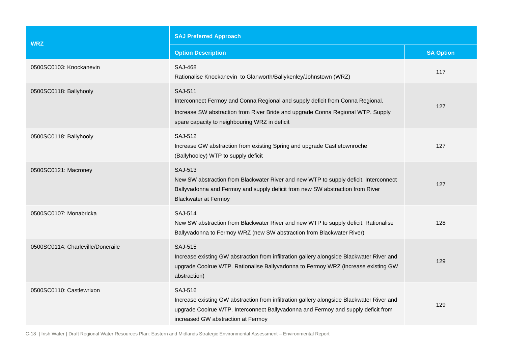| <b>WRZ</b>                        | <b>SAJ Preferred Approach</b>                                                                                                                                                                                                          |                  |  |
|-----------------------------------|----------------------------------------------------------------------------------------------------------------------------------------------------------------------------------------------------------------------------------------|------------------|--|
|                                   | <b>Option Description</b>                                                                                                                                                                                                              | <b>SA Option</b> |  |
| 0500SC0103: Knockanevin           | <b>SAJ-468</b><br>Rationalise Knockanevin to Glanworth/Ballykenley/Johnstown (WRZ)                                                                                                                                                     | 117              |  |
| 0500SC0118: Ballyhooly            | <b>SAJ-511</b><br>Interconnect Fermoy and Conna Regional and supply deficit from Conna Regional.<br>Increase SW abstraction from River Bride and upgrade Conna Regional WTP. Supply<br>spare capacity to neighbouring WRZ in deficit   | 127              |  |
| 0500SC0118: Ballyhooly            | <b>SAJ-512</b><br>Increase GW abstraction from existing Spring and upgrade Castletownroche<br>(Ballyhooley) WTP to supply deficit                                                                                                      | 127              |  |
| 0500SC0121: Macroney              | <b>SAJ-513</b><br>New SW abstraction from Blackwater River and new WTP to supply deficit. Interconnect<br>Ballyvadonna and Fermoy and supply deficit from new SW abstraction from River<br><b>Blackwater at Fermoy</b>                 | 127              |  |
| 0500SC0107: Monabricka            | <b>SAJ-514</b><br>New SW abstraction from Blackwater River and new WTP to supply deficit. Rationalise<br>Ballyvadonna to Fermoy WRZ (new SW abstraction from Blackwater River)                                                         | 128              |  |
| 0500SC0114: Charleville/Doneraile | <b>SAJ-515</b><br>Increase existing GW abstraction from infiltration gallery alongside Blackwater River and<br>upgrade Coolrue WTP. Rationalise Ballyvadonna to Fermoy WRZ (increase existing GW<br>abstraction)                       | 129              |  |
| 0500SC0110: Castlewrixon          | <b>SAJ-516</b><br>Increase existing GW abstraction from infiltration gallery alongside Blackwater River and<br>upgrade Coolrue WTP. Interconnect Ballyvadonna and Fermoy and supply deficit from<br>increased GW abstraction at Fermoy | 129              |  |

C-18 | Irish Water | Draft Regional Water Resources Plan: Eastern and Midlands Strategic Environmental Assessment – Environmental Report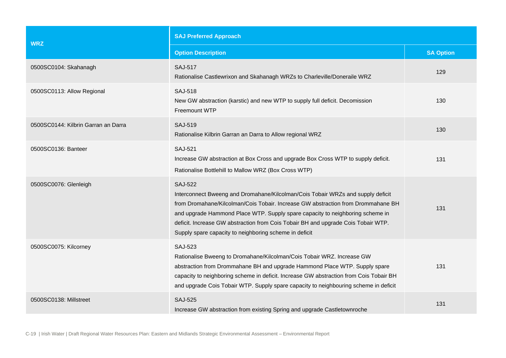| <b>WRZ</b>                          | <b>SAJ Preferred Approach</b>                                                                                                                                                                                                                                                                                                                                                                                         |                  |  |
|-------------------------------------|-----------------------------------------------------------------------------------------------------------------------------------------------------------------------------------------------------------------------------------------------------------------------------------------------------------------------------------------------------------------------------------------------------------------------|------------------|--|
|                                     | <b>Option Description</b>                                                                                                                                                                                                                                                                                                                                                                                             | <b>SA Option</b> |  |
| 0500SC0104: Skahanagh               | <b>SAJ-517</b><br>Rationalise Castlewrixon and Skahanagh WRZs to Charleville/Doneraile WRZ                                                                                                                                                                                                                                                                                                                            | 129              |  |
| 0500SC0113: Allow Regional          | <b>SAJ-518</b><br>New GW abstraction (karstic) and new WTP to supply full deficit. Decomission<br>Freemount WTP                                                                                                                                                                                                                                                                                                       | 130              |  |
| 0500SC0144: Kilbrin Garran an Darra | <b>SAJ-519</b><br>Rationalise Kilbrin Garran an Darra to Allow regional WRZ                                                                                                                                                                                                                                                                                                                                           | 130              |  |
| 0500SC0136: Banteer                 | <b>SAJ-521</b><br>Increase GW abstraction at Box Cross and upgrade Box Cross WTP to supply deficit.<br>Rationalise Bottlehill to Mallow WRZ (Box Cross WTP)                                                                                                                                                                                                                                                           | 131              |  |
| 0500SC0076: Glenleigh               | <b>SAJ-522</b><br>Interconnect Bweeng and Dromahane/Kilcolman/Cois Tobair WRZs and supply deficit<br>from Dromahane/Kilcolman/Cois Tobair. Increase GW abstraction from Drommahane BH<br>and upgrade Hammond Place WTP. Supply spare capacity to neighboring scheme in<br>deficit. Increase GW abstraction from Cois Tobair BH and upgrade Cois Tobair WTP.<br>Supply spare capacity to neighboring scheme in deficit | 131              |  |
| 0500SC0075: Kilcorney               | <b>SAJ-523</b><br>Rationalise Bweeng to Dromahane/Kilcolman/Cois Tobair WRZ. Increase GW<br>abstraction from Drommahane BH and upgrade Hammond Place WTP. Supply spare<br>capacity to neighboring scheme in deficit. Increase GW abstraction from Cois Tobair BH<br>and upgrade Cois Tobair WTP. Supply spare capacity to neighbouring scheme in deficit                                                              | 131              |  |
| 0500SC0138: Millstreet              | <b>SAJ-525</b><br>Increase GW abstraction from existing Spring and upgrade Castletownroche                                                                                                                                                                                                                                                                                                                            | 131              |  |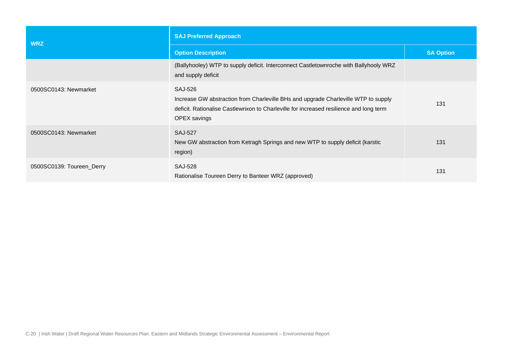| <b>WRZ</b>                | <b>SAJ Preferred Approach</b>                                                                                                                                                                                          |                  |  |
|---------------------------|------------------------------------------------------------------------------------------------------------------------------------------------------------------------------------------------------------------------|------------------|--|
|                           | <b>Option Description</b>                                                                                                                                                                                              | <b>SA Option</b> |  |
|                           | (Ballyhooley) WTP to supply deficit. Interconnect Castletownroche with Ballyhooly WRZ<br>and supply deficit                                                                                                            |                  |  |
| 0500SC0143: Newmarket     | <b>SAJ-526</b><br>Increase GW abstraction from Charleville BHs and upgrade Charleville WTP to supply<br>deficit. Rationalise Castlewrixon to Charleville for increased resilience and long term<br><b>OPEX</b> savings | 131              |  |
| 0500SC0143: Newmarket     | <b>SAJ-527</b><br>New GW abstraction from Ketragh Springs and new WTP to supply deficit (karstic<br>region)                                                                                                            | 131              |  |
| 0500SC0139: Toureen_Derry | <b>SAJ-528</b><br>Rationalise Toureen Derry to Banteer WRZ (approved)                                                                                                                                                  | 131              |  |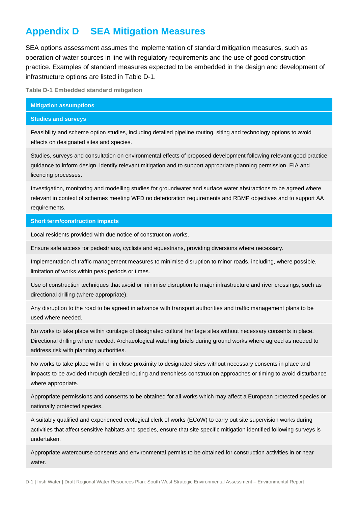# **Appendix D SEA Mitigation Measures**

SEA options assessment assumes the implementation of standard mitigation measures, such as operation of water sources in line with regulatory requirements and the use of good construction practice. Examples of standard measures expected to be embedded in the design and development of infrastructure options are listed in [Table D-1.](#page-43-0)

<span id="page-43-0"></span>**Table D-1 Embedded standard mitigation**

#### **Mitigation assumptions**

#### **Studies and surveys**

Feasibility and scheme option studies, including detailed pipeline routing, siting and technology options to avoid effects on designated sites and species.

Studies, surveys and consultation on environmental effects of proposed development following relevant good practice guidance to inform design, identify relevant mitigation and to support appropriate planning permission, EIA and licencing processes.

Investigation, monitoring and modelling studies for groundwater and surface water abstractions to be agreed where relevant in context of schemes meeting WFD no deterioration requirements and RBMP objectives and to support AA requirements.

#### **Short term/construction impacts**

Local residents provided with due notice of construction works.

Ensure safe access for pedestrians, cyclists and equestrians, providing diversions where necessary.

Implementation of traffic management measures to minimise disruption to minor roads, including, where possible, limitation of works within peak periods or times.

Use of construction techniques that avoid or minimise disruption to major infrastructure and river crossings, such as directional drilling (where appropriate).

Any disruption to the road to be agreed in advance with transport authorities and traffic management plans to be used where needed.

No works to take place within curtilage of designated cultural heritage sites without necessary consents in place. Directional drilling where needed. Archaeological watching briefs during ground works where agreed as needed to address risk with planning authorities.

No works to take place within or in close proximity to designated sites without necessary consents in place and impacts to be avoided through detailed routing and trenchless construction approaches or timing to avoid disturbance where appropriate.

Appropriate permissions and consents to be obtained for all works which may affect a European protected species or nationally protected species.

A suitably qualified and experienced ecological clerk of works (ECoW) to carry out site supervision works during activities that affect sensitive habitats and species, ensure that site specific mitigation identified following surveys is undertaken.

Appropriate watercourse consents and environmental permits to be obtained for construction activities in or near water.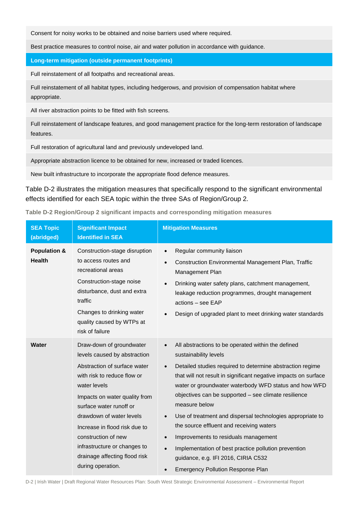Consent for noisy works to be obtained and noise barriers used where required.

Best practice measures to control noise, air and water pollution in accordance with guidance.

**Long-term mitigation (outside permanent footprints)**

Full reinstatement of all footpaths and recreational areas.

Full reinstatement of all habitat types, including hedgerows, and provision of compensation habitat where appropriate.

All river abstraction points to be fitted with fish screens.

Full reinstatement of landscape features, and good management practice for the long-term restoration of landscape features.

Full restoration of agricultural land and previously undeveloped land.

Appropriate abstraction licence to be obtained for new, increased or traded licences.

New built infrastructure to incorporate the appropriate flood defence measures.

[Table D-2](#page-44-0) illustrates the mitigation measures that specifically respond to the significant environmental effects identified for each SEA topic within the three SAs of Region/Group 2.

<span id="page-44-0"></span>

| Table D-2 Region/Group 2 significant impacts and corresponding mitigation measures |  |  |  |  |  |
|------------------------------------------------------------------------------------|--|--|--|--|--|
|------------------------------------------------------------------------------------|--|--|--|--|--|

| <b>SEA Topic</b><br>(abridged)           | <b>Significant Impact</b><br><b>Identified in SEA</b>                                                                                                                                                                                                                                                                                                                         | <b>Mitigation Measures</b>                                                                                                                                                                                                                                                                                                                                                                                                                                                                                                                                                                                                                                                                                               |
|------------------------------------------|-------------------------------------------------------------------------------------------------------------------------------------------------------------------------------------------------------------------------------------------------------------------------------------------------------------------------------------------------------------------------------|--------------------------------------------------------------------------------------------------------------------------------------------------------------------------------------------------------------------------------------------------------------------------------------------------------------------------------------------------------------------------------------------------------------------------------------------------------------------------------------------------------------------------------------------------------------------------------------------------------------------------------------------------------------------------------------------------------------------------|
| <b>Population &amp;</b><br><b>Health</b> | Construction-stage disruption<br>to access routes and<br>recreational areas<br>Construction-stage noise<br>disturbance, dust and extra<br>traffic<br>Changes to drinking water<br>quality caused by WTPs at<br>risk of failure                                                                                                                                                | Regular community liaison<br>$\bullet$<br><b>Construction Environmental Management Plan, Traffic</b><br>$\bullet$<br>Management Plan<br>Drinking water safety plans, catchment management,<br>$\bullet$<br>leakage reduction programmes, drought management<br>actions - see EAP<br>Design of upgraded plant to meet drinking water standards<br>$\bullet$                                                                                                                                                                                                                                                                                                                                                               |
| Water                                    | Draw-down of groundwater<br>levels caused by abstraction<br>Abstraction of surface water<br>with risk to reduce flow or<br>water levels<br>Impacts on water quality from<br>surface water runoff or<br>drawdown of water levels<br>Increase in flood risk due to<br>construction of new<br>infrastructure or changes to<br>drainage affecting flood risk<br>during operation. | All abstractions to be operated within the defined<br>$\bullet$<br>sustainability levels<br>Detailed studies required to determine abstraction regime<br>$\bullet$<br>that will not result in significant negative impacts on surface<br>water or groundwater waterbody WFD status and how WFD<br>objectives can be supported - see climate resilience<br>measure below<br>Use of treatment and dispersal technologies appropriate to<br>$\bullet$<br>the source effluent and receiving waters<br>Improvements to residuals management<br>$\bullet$<br>Implementation of best practice pollution prevention<br>$\bullet$<br>guidance, e.g. IFI 2016, CIRIA C532<br><b>Emergency Pollution Response Plan</b><br>$\bullet$ |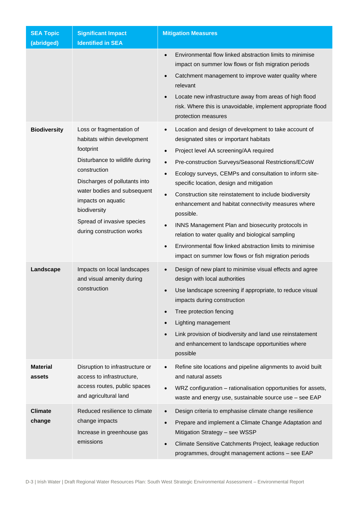| <b>SEA Topic</b><br>(abridged) | <b>Significant Impact</b><br><b>Identified in SEA</b>                                                                                                                                                                                                                                   | <b>Mitigation Measures</b>                                                                                                                                                                                                                                                                                                                                                                                                                                                                                                                                                                                                                                                                                                                                      |
|--------------------------------|-----------------------------------------------------------------------------------------------------------------------------------------------------------------------------------------------------------------------------------------------------------------------------------------|-----------------------------------------------------------------------------------------------------------------------------------------------------------------------------------------------------------------------------------------------------------------------------------------------------------------------------------------------------------------------------------------------------------------------------------------------------------------------------------------------------------------------------------------------------------------------------------------------------------------------------------------------------------------------------------------------------------------------------------------------------------------|
|                                |                                                                                                                                                                                                                                                                                         | Environmental flow linked abstraction limits to minimise<br>$\bullet$<br>impact on summer low flows or fish migration periods<br>Catchment management to improve water quality where<br>$\bullet$<br>relevant<br>Locate new infrastructure away from areas of high flood<br>$\bullet$<br>risk. Where this is unavoidable, implement appropriate flood<br>protection measures                                                                                                                                                                                                                                                                                                                                                                                    |
| <b>Biodiversity</b>            | Loss or fragmentation of<br>habitats within development<br>footprint<br>Disturbance to wildlife during<br>construction<br>Discharges of pollutants into<br>water bodies and subsequent<br>impacts on aquatic<br>biodiversity<br>Spread of invasive species<br>during construction works | Location and design of development to take account of<br>$\bullet$<br>designated sites or important habitats<br>Project level AA screening/AA required<br>$\bullet$<br>Pre-construction Surveys/Seasonal Restrictions/ECoW<br>$\bullet$<br>Ecology surveys, CEMPs and consultation to inform site-<br>$\bullet$<br>specific location, design and mitigation<br>Construction site reinstatement to include biodiversity<br>$\bullet$<br>enhancement and habitat connectivity measures where<br>possible.<br>INNS Management Plan and biosecurity protocols in<br>$\bullet$<br>relation to water quality and biological sampling<br>Environmental flow linked abstraction limits to minimise<br>$\bullet$<br>impact on summer low flows or fish migration periods |
| Landscape                      | Impacts on local landscapes<br>and visual amenity during<br>construction                                                                                                                                                                                                                | Design of new plant to minimise visual effects and agree<br>$\bullet$<br>design with local authorities<br>Use landscape screening if appropriate, to reduce visual<br>impacts during construction<br>Tree protection fencing<br>Lighting management<br>$\bullet$<br>Link provision of biodiversity and land use reinstatement<br>$\bullet$<br>and enhancement to landscape opportunities where<br>possible                                                                                                                                                                                                                                                                                                                                                      |
| Material<br>assets             | Disruption to infrastructure or<br>access to infrastructure,<br>access routes, public spaces<br>and agricultural land                                                                                                                                                                   | Refine site locations and pipeline alignments to avoid built<br>$\bullet$<br>and natural assets<br>WRZ configuration - rationalisation opportunities for assets,<br>$\bullet$<br>waste and energy use, sustainable source use - see EAP                                                                                                                                                                                                                                                                                                                                                                                                                                                                                                                         |
| <b>Climate</b><br>change       | Reduced resilience to climate<br>change impacts<br>Increase in greenhouse gas<br>emissions                                                                                                                                                                                              | Design criteria to emphasise climate change resilience<br>$\bullet$<br>Prepare and implement a Climate Change Adaptation and<br>$\bullet$<br>Mitigation Strategy - see WSSP<br>Climate Sensitive Catchments Project, leakage reduction<br>$\bullet$<br>programmes, drought management actions - see EAP                                                                                                                                                                                                                                                                                                                                                                                                                                                         |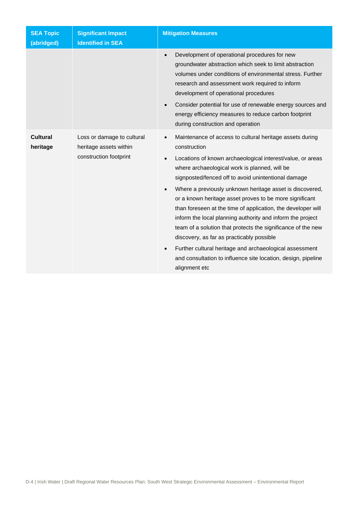| <b>SEA Topic</b><br>(abridged) | <b>Significant Impact</b><br><b>Identified in SEA</b>                          | <b>Mitigation Measures</b>                                                                                                                                                                                                                                                                                                                                                                                                                                                                                                                                                                                                                                                                                                                                                                                        |
|--------------------------------|--------------------------------------------------------------------------------|-------------------------------------------------------------------------------------------------------------------------------------------------------------------------------------------------------------------------------------------------------------------------------------------------------------------------------------------------------------------------------------------------------------------------------------------------------------------------------------------------------------------------------------------------------------------------------------------------------------------------------------------------------------------------------------------------------------------------------------------------------------------------------------------------------------------|
|                                |                                                                                | Development of operational procedures for new<br>$\bullet$<br>groundwater abstraction which seek to limit abstraction<br>volumes under conditions of environmental stress. Further<br>research and assessment work required to inform<br>development of operational procedures<br>Consider potential for use of renewable energy sources and<br>$\bullet$<br>energy efficiency measures to reduce carbon footprint<br>during construction and operation                                                                                                                                                                                                                                                                                                                                                           |
| <b>Cultural</b><br>heritage    | Loss or damage to cultural<br>heritage assets within<br>construction footprint | Maintenance of access to cultural heritage assets during<br>$\bullet$<br>construction<br>Locations of known archaeological interest/value, or areas<br>$\bullet$<br>where archaeological work is planned, will be<br>signposted/fenced off to avoid unintentional damage<br>Where a previously unknown heritage asset is discovered,<br>$\bullet$<br>or a known heritage asset proves to be more significant<br>than foreseen at the time of application, the developer will<br>inform the local planning authority and inform the project<br>team of a solution that protects the significance of the new<br>discovery, as far as practicably possible<br>Further cultural heritage and archaeological assessment<br>$\bullet$<br>and consultation to influence site location, design, pipeline<br>alignment etc |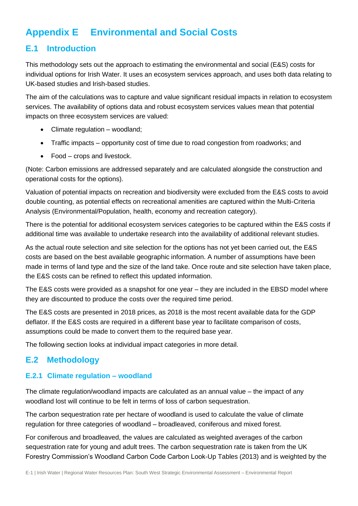# **Appendix E Environmental and Social Costs**

## **E.1 Introduction**

This methodology sets out the approach to estimating the environmental and social (E&S) costs for individual options for Irish Water. It uses an ecosystem services approach, and uses both data relating to UK-based studies and Irish-based studies.

The aim of the calculations was to capture and value significant residual impacts in relation to ecosystem services. The availability of options data and robust ecosystem services values mean that potential impacts on three ecosystem services are valued:

- Climate regulation woodland;
- Traffic impacts opportunity cost of time due to road congestion from roadworks; and
- Food crops and livestock.

(Note: Carbon emissions are addressed separately and are calculated alongside the construction and operational costs for the options).

Valuation of potential impacts on recreation and biodiversity were excluded from the E&S costs to avoid double counting, as potential effects on recreational amenities are captured within the Multi-Criteria Analysis (Environmental/Population, health, economy and recreation category).

There is the potential for additional ecosystem services categories to be captured within the E&S costs if additional time was available to undertake research into the availability of additional relevant studies.

As the actual route selection and site selection for the options has not yet been carried out, the E&S costs are based on the best available geographic information. A number of assumptions have been made in terms of land type and the size of the land take. Once route and site selection have taken place, the E&S costs can be refined to reflect this updated information.

The E&S costs were provided as a snapshot for one year – they are included in the EBSD model where they are discounted to produce the costs over the required time period.

The E&S costs are presented in 2018 prices, as 2018 is the most recent available data for the GDP deflator. If the E&S costs are required in a different base year to facilitate comparison of costs, assumptions could be made to convert them to the required base year.

The following section looks at individual impact categories in more detail.

## **E.2 Methodology**

#### **E.2.1 Climate regulation – woodland**

The climate regulation/woodland impacts are calculated as an annual value – the impact of any woodland lost will continue to be felt in terms of loss of carbon sequestration.

The carbon sequestration rate per hectare of woodland is used to calculate the value of climate regulation for three categories of woodland – broadleaved, coniferous and mixed forest.

For coniferous and broadleaved, the values are calculated as weighted averages of the carbon sequestration rate for young and adult trees. The carbon sequestration rate is taken from the UK Forestry Commission's Woodland Carbon Code Carbon Look-Up Tables (2013) and is weighted by the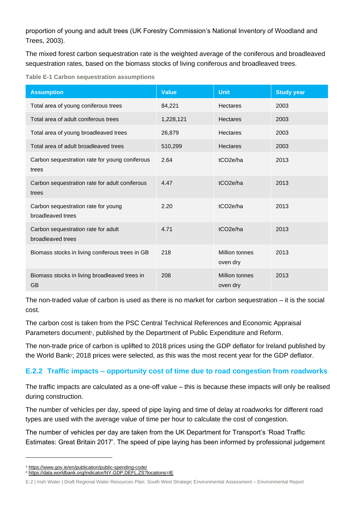proportion of young and adult trees (UK Forestry Commission's National Inventory of Woodland and Trees, 2003).

The mixed forest carbon sequestration rate is the weighted average of the coniferous and broadleaved sequestration rates, based on the biomass stocks of living coniferous and broadleaved trees.

**Table E-1 Carbon sequestration assumptions**

| <b>Assumption</b>                                          | <b>Value</b> | <b>Unit</b>                       | <b>Study year</b> |
|------------------------------------------------------------|--------------|-----------------------------------|-------------------|
| Total area of young coniferous trees                       | 84,221       | Hectares                          | 2003              |
| Total area of adult coniferous trees                       | 1,228,121    | <b>Hectares</b>                   | 2003              |
| Total area of young broadleaved trees                      | 26,879       | <b>Hectares</b>                   | 2003              |
| Total area of adult broadleaved trees                      | 510,299      | <b>Hectares</b>                   | 2003              |
| Carbon sequestration rate for young coniferous<br>trees    | 2.64         | tCO <sub>2</sub> e/ha             | 2013              |
| Carbon sequestration rate for adult coniferous<br>trees    | 4.47         | tCO <sub>2e</sub> /ha             | 2013              |
| Carbon sequestration rate for young<br>broadleaved trees   | 2.20         | tCO <sub>2e</sub> /ha             | 2013              |
| Carbon sequestration rate for adult<br>broadleaved trees   | 4.71         | tCO <sub>2e</sub> /ha             | 2013              |
| Biomass stocks in living coniferous trees in GB            | 218          | Million tonnes<br>oven dry        | 2013              |
| Biomass stocks in living broadleaved trees in<br><b>GB</b> | 208          | <b>Million tonnes</b><br>oven dry | 2013              |

The non-traded value of carbon is used as there is no market for carbon sequestration – it is the social cost.

The carbon cost is taken from the PSC Central Technical References and Economic Appraisal Parameters document<sup>1</sup>, published by the Department of Public Expenditure and Reform.

The non-trade price of carbon is uplifted to 2018 prices using the GDP deflator for Ireland published by the World Bank<sup>2</sup>; 2018 prices were selected, as this was the most recent year for the GDP deflator.

#### **E.2.2 Traffic impacts – opportunity cost of time due to road congestion from roadworks**

The traffic impacts are calculated as a one-off value – this is because these impacts will only be realised during construction.

The number of vehicles per day, speed of pipe laying and time of delay at roadworks for different road types are used with the average value of time per hour to calculate the cost of congestion.

The number of vehicles per day are taken from the UK Department for Transport's 'Road Traffic Estimates: Great Britain 2017'. The speed of pipe laying has been informed by professional judgement

<sup>1</sup> <https://www.gov.ie/en/publication/public-spending-code/>

<sup>2</sup> <https://data.worldbank.org/indicator/NY.GDP.DEFL.ZS?locations=IE>

E-2 | Irish Water | Draft Regional Water Resources Plan: South West Strategic Environmental Assessment – Environmental Report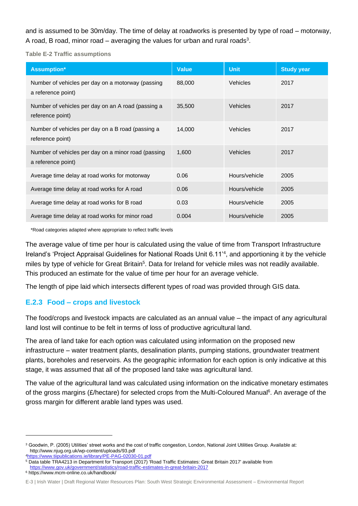and is assumed to be 30m/day. The time of delay at roadworks is presented by type of road – motorway, A road, B road, minor road  $-$  averaging the values for urban and rural roads<sup>3</sup>.

**Table E-2 Traffic assumptions**

| <b>Assumption*</b>                                                        | <b>Value</b> | <b>Unit</b>     | <b>Study year</b> |
|---------------------------------------------------------------------------|--------------|-----------------|-------------------|
| Number of vehicles per day on a motorway (passing<br>a reference point)   | 88,000       | <b>Vehicles</b> | 2017              |
| Number of vehicles per day on an A road (passing a<br>reference point)    | 35,500       | Vehicles        | 2017              |
| Number of vehicles per day on a B road (passing a<br>reference point)     | 14,000       | <b>Vehicles</b> | 2017              |
| Number of vehicles per day on a minor road (passing<br>a reference point) | 1,600        | <b>Vehicles</b> | 2017              |
| Average time delay at road works for motorway                             | 0.06         | Hours/vehicle   | 2005              |
| Average time delay at road works for A road                               | 0.06         | Hours/vehicle   | 2005              |
| Average time delay at road works for B road                               | 0.03         | Hours/vehicle   | 2005              |
| Average time delay at road works for minor road                           | 0.004        | Hours/vehicle   | 2005              |

\*Road categories adapted where appropriate to reflect traffic levels

The average value of time per hour is calculated using the value of time from Transport Infrastructure Ireland's 'Project Appraisal Guidelines for National Roads Unit 6.11'<sup>4</sup> , and apportioning it by the vehicle miles by type of vehicle for Great Britain<sup>5</sup>. Data for Ireland for vehicle miles was not readily available. This produced an estimate for the value of time per hour for an average vehicle.

The length of pipe laid which intersects different types of road was provided through GIS data.

#### **E.2.3 Food – crops and livestock**

The food/crops and livestock impacts are calculated as an annual value – the impact of any agricultural land lost will continue to be felt in terms of loss of productive agricultural land.

The area of land take for each option was calculated using information on the proposed new infrastructure – water treatment plants, desalination plants, pumping stations, groundwater treatment plants, boreholes and reservoirs. As the geographic information for each option is only indicative at this stage, it was assumed that all of the proposed land take was agricultural land.

The value of the agricultural land was calculated using information on the indicative monetary estimates of the gross margins (£/hectare) for selected crops from the Multi-Coloured Manual<sup>6</sup>. An average of the gross margin for different arable land types was used.

<sup>3</sup> Goodwin, P. (2005) Utilities' street works and the cost of traffic congestion, London, National Joint Utilities Group. Available at: http://www.njug.org.uk/wp-content/uploads/93.pdf <sup>4</sup><https://www.tiipublications.ie/library/PE-PAG-02030-01.pdf>

<sup>5</sup> Data table TRA4213 in Department for Transport (2017) 'Road Traffic Estimates: Great Britain 2017' available from <https://www.gov.uk/government/statistics/road-traffic-estimates-in-great-britain-2017>

<sup>6</sup> <https://www.mcm-online.co.uk/handbook/>

E-3 | Irish Water | Draft Regional Water Resources Plan: South West Strategic Environmental Assessment – Environmental Report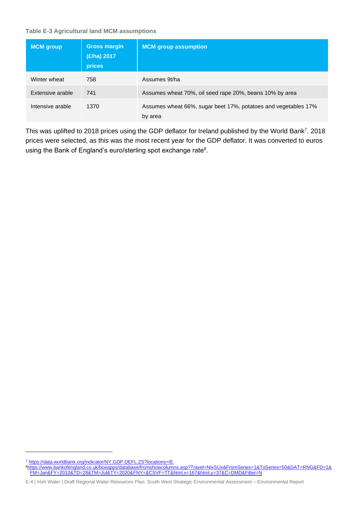**Table E-3 Agricultural land MCM assumptions**

| <b>MCM</b> group | <b>Gross margin</b><br>(£/ha) 2017<br>prices | <b>MCM</b> group assumption                                               |
|------------------|----------------------------------------------|---------------------------------------------------------------------------|
| Winter wheat     | 758                                          | Assumes 9t/ha                                                             |
| Extensive arable | 741                                          | Assumes wheat 70%, oil seed rape 20%, beans 10% by area                   |
| Intensive arable | 1370                                         | Assumes wheat 66%, sugar beet 17%, potatoes and vegetables 17%<br>by area |

This was uplifted to 2018 prices using the GDP deflator for Ireland published by the World Bank<sup>7</sup>. 2018 prices were selected, as this was the most recent year for the GDP deflator. It was converted to euros using the Bank of England's euro/sterling spot exchange rate<sup>8</sup>.

<sup>7</sup> <https://data.worldbank.org/indicator/NY.GDP.DEFL.ZS?locations=IE> <sup>8</sup>[https://www.bankofengland.co.uk/boeapps/database/fromshowcolumns.asp?Travel=NIxSUx&FromSeries=1&ToSeries=50&DAT=RNG&FD=1&](https://www.bankofengland.co.uk/boeapps/database/fromshowcolumns.asp?Travel=NIxSUx&FromSeries=1&ToSeries=50&DAT=RNG&FD=1&FM=Jan&FY=2010&TD=28&TM=Jul&TY=2020&FNY=&CSVF=TT&html.x=167&html.y=37&C=DMD&Filter=N) [FM=Jan&FY=2010&TD=28&TM=Jul&TY=2020&FNY=&CSVF=TT&html.x=167&html.y=37&C=DMD&Filter=N](https://www.bankofengland.co.uk/boeapps/database/fromshowcolumns.asp?Travel=NIxSUx&FromSeries=1&ToSeries=50&DAT=RNG&FD=1&FM=Jan&FY=2010&TD=28&TM=Jul&TY=2020&FNY=&CSVF=TT&html.x=167&html.y=37&C=DMD&Filter=N)

E-4 | Irish Water | Draft Regional Water Resources Plan: South West Strategic Environmental Assessment – Environmental Report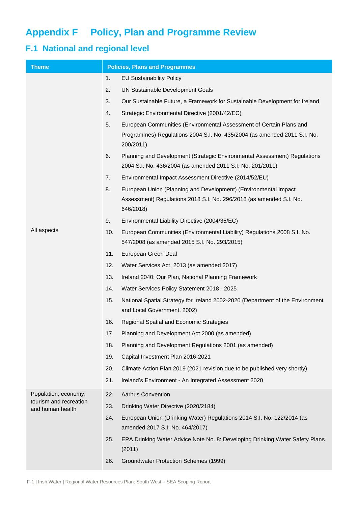# **Appendix F Policy, Plan and Programme Review**

# **F.1 National and regional level**

| <b>Theme</b>                               | <b>Policies, Plans and Programmes</b>                                                                                                                              |  |
|--------------------------------------------|--------------------------------------------------------------------------------------------------------------------------------------------------------------------|--|
|                                            | 1.<br><b>EU Sustainability Policy</b>                                                                                                                              |  |
|                                            | 2.<br>UN Sustainable Development Goals                                                                                                                             |  |
|                                            | 3.<br>Our Sustainable Future, a Framework for Sustainable Development for Ireland                                                                                  |  |
|                                            | Strategic Environmental Directive (2001/42/EC)<br>4.                                                                                                               |  |
|                                            | 5.<br>European Communities (Environmental Assessment of Certain Plans and<br>Programmes) Regulations 2004 S.I. No. 435/2004 (as amended 2011 S.I. No.<br>200/2011) |  |
|                                            | 6.<br>Planning and Development (Strategic Environmental Assessment) Regulations<br>2004 S.I. No. 436/2004 (as amended 2011 S.I. No. 201/2011)                      |  |
|                                            | 7.<br>Environmental Impact Assessment Directive (2014/52/EU)                                                                                                       |  |
|                                            | 8.<br>European Union (Planning and Development) (Environmental Impact<br>Assessment) Regulations 2018 S.I. No. 296/2018 (as amended S.I. No.<br>646/2018)          |  |
|                                            | 9.<br>Environmental Liability Directive (2004/35/EC)                                                                                                               |  |
| All aspects                                | 10.<br>European Communities (Environmental Liability) Regulations 2008 S.I. No.<br>547/2008 (as amended 2015 S.I. No. 293/2015)                                    |  |
|                                            | 11.<br>European Green Deal                                                                                                                                         |  |
|                                            | 12.<br>Water Services Act, 2013 (as amended 2017)                                                                                                                  |  |
|                                            | 13.<br>Ireland 2040: Our Plan, National Planning Framework                                                                                                         |  |
|                                            | 14.<br>Water Services Policy Statement 2018 - 2025                                                                                                                 |  |
|                                            | 15.<br>National Spatial Strategy for Ireland 2002-2020 (Department of the Environment<br>and Local Government, 2002)                                               |  |
|                                            | 16.<br>Regional Spatial and Economic Strategies                                                                                                                    |  |
|                                            | Planning and Development Act 2000 (as amended)<br>17.                                                                                                              |  |
|                                            | 18.<br>Planning and Development Regulations 2001 (as amended)                                                                                                      |  |
|                                            | 19.<br>Capital Investment Plan 2016-2021                                                                                                                           |  |
|                                            | 20.<br>Climate Action Plan 2019 (2021 revision due to be published very shortly)                                                                                   |  |
|                                            | 21.<br>Ireland's Environment - An Integrated Assessment 2020                                                                                                       |  |
| Population, economy,                       | 22.<br><b>Aarhus Convention</b>                                                                                                                                    |  |
| tourism and recreation<br>and human health | 23.<br>Drinking Water Directive (2020/2184)                                                                                                                        |  |
|                                            | 24.<br>European Union (Drinking Water) Regulations 2014 S.I. No. 122/2014 (as<br>amended 2017 S.I. No. 464/2017)                                                   |  |
|                                            | 25.<br>EPA Drinking Water Advice Note No. 8: Developing Drinking Water Safety Plans<br>(2011)                                                                      |  |
|                                            | 26.<br>Groundwater Protection Schemes (1999)                                                                                                                       |  |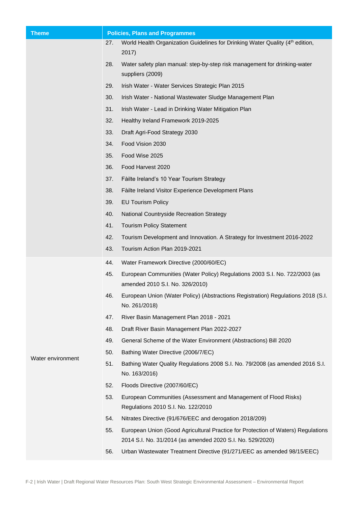| <b>Theme</b>      | <b>Policies, Plans and Programmes</b> |                                                                                                                                               |
|-------------------|---------------------------------------|-----------------------------------------------------------------------------------------------------------------------------------------------|
|                   | 27.                                   | World Health Organization Guidelines for Drinking Water Quality (4th edition,                                                                 |
|                   |                                       | 2017)                                                                                                                                         |
|                   | 28.                                   | Water safety plan manual: step-by-step risk management for drinking-water<br>suppliers (2009)                                                 |
|                   | 29.                                   | Irish Water - Water Services Strategic Plan 2015                                                                                              |
|                   | 30.                                   | Irish Water - National Wastewater Sludge Management Plan                                                                                      |
|                   | 31.                                   | Irish Water - Lead in Drinking Water Mitigation Plan                                                                                          |
|                   | 32.                                   | Healthy Ireland Framework 2019-2025                                                                                                           |
|                   | 33.                                   | Draft Agri-Food Strategy 2030                                                                                                                 |
|                   | 34.                                   | Food Vision 2030                                                                                                                              |
|                   | 35.                                   | Food Wise 2025                                                                                                                                |
|                   | 36.                                   | Food Harvest 2020                                                                                                                             |
|                   | 37.                                   | Fàilte Ireland's 10 Year Tourism Strategy                                                                                                     |
|                   | 38.                                   | Fàilte Ireland Visitor Experience Development Plans                                                                                           |
|                   | 39.                                   | <b>EU Tourism Policy</b>                                                                                                                      |
|                   | 40.                                   | National Countryside Recreation Strategy                                                                                                      |
|                   | 41.                                   | <b>Tourism Policy Statement</b>                                                                                                               |
|                   | 42.                                   | Tourism Development and Innovation. A Strategy for Investment 2016-2022                                                                       |
|                   | 43.                                   | Tourism Action Plan 2019-2021                                                                                                                 |
|                   | 44.                                   | Water Framework Directive (2000/60/EC)                                                                                                        |
|                   | 45.                                   | European Communities (Water Policy) Regulations 2003 S.I. No. 722/2003 (as<br>amended 2010 S.I. No. 326/2010)                                 |
|                   | 46.                                   | European Union (Water Policy) (Abstractions Registration) Regulations 2018 (S.I.<br>No. 261/2018)                                             |
|                   | 47.                                   | River Basin Management Plan 2018 - 2021                                                                                                       |
|                   | 48.                                   | Draft River Basin Management Plan 2022-2027                                                                                                   |
|                   | 49.                                   | General Scheme of the Water Environment (Abstractions) Bill 2020                                                                              |
|                   | 50.                                   | Bathing Water Directive (2006/7/EC)                                                                                                           |
| Water environment | 51.                                   | Bathing Water Quality Regulations 2008 S.I. No. 79/2008 (as amended 2016 S.I.<br>No. 163/2016)                                                |
|                   | 52.                                   | Floods Directive (2007/60/EC)                                                                                                                 |
|                   | 53.                                   | European Communities (Assessment and Management of Flood Risks)<br>Regulations 2010 S.I. No. 122/2010                                         |
|                   | 54.                                   | Nitrates Directive (91/676/EEC and derogation 2018/209)                                                                                       |
|                   | 55.                                   | European Union (Good Agricultural Practice for Protection of Waters) Regulations<br>2014 S.I. No. 31/2014 (as amended 2020 S.I. No. 529/2020) |
|                   | 56.                                   | Urban Wastewater Treatment Directive (91/271/EEC as amended 98/15/EEC)                                                                        |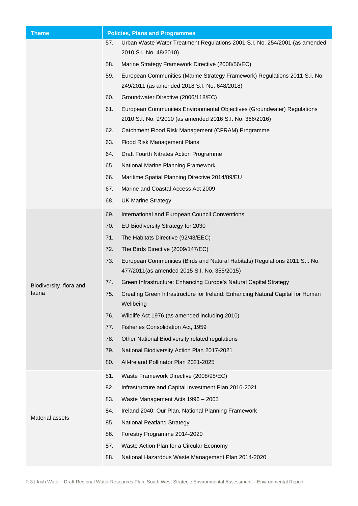| <b>Theme</b>            | <b>Policies, Plans and Programmes</b> |                                                                                                                                     |
|-------------------------|---------------------------------------|-------------------------------------------------------------------------------------------------------------------------------------|
|                         | 57.                                   | Urban Waste Water Treatment Regulations 2001 S.I. No. 254/2001 (as amended                                                          |
|                         |                                       | 2010 S.I. No. 48/2010)                                                                                                              |
|                         | 58.                                   | Marine Strategy Framework Directive (2008/56/EC)                                                                                    |
|                         | 59.                                   | European Communities (Marine Strategy Framework) Regulations 2011 S.I. No.<br>249/2011 (as amended 2018 S.I. No. 648/2018)          |
|                         | 60.                                   | Groundwater Directive (2006/118/EC)                                                                                                 |
|                         | 61.                                   | European Communities Environmental Objectives (Groundwater) Regulations<br>2010 S.I. No. 9/2010 (as amended 2016 S.I. No. 366/2016) |
|                         | 62.                                   | Catchment Flood Risk Management (CFRAM) Programme                                                                                   |
|                         | 63.                                   | Flood Risk Management Plans                                                                                                         |
|                         | 64.                                   | Draft Fourth Nitrates Action Programme                                                                                              |
|                         | 65.                                   | National Marine Planning Framework                                                                                                  |
|                         | 66.                                   | Maritime Spatial Planning Directive 2014/89/EU                                                                                      |
|                         | 67.                                   | Marine and Coastal Access Act 2009                                                                                                  |
|                         | 68.                                   | <b>UK Marine Strategy</b>                                                                                                           |
|                         | 69.                                   | International and European Council Conventions                                                                                      |
|                         | 70.                                   | EU Biodiversity Strategy for 2030                                                                                                   |
|                         | 71.                                   | The Habitats Directive (92/43/EEC)                                                                                                  |
|                         | 72.                                   | The Birds Directive (2009/147/EC)                                                                                                   |
|                         | 73.                                   | European Communities (Birds and Natural Habitats) Regulations 2011 S.I. No.<br>477/2011(as amended 2015 S.I. No. 355/2015)          |
| Biodiversity, flora and | 74.                                   | Green Infrastructure: Enhancing Europe's Natural Capital Strategy                                                                   |
| fauna                   | 75.                                   | Creating Green Infrastructure for Ireland: Enhancing Natural Capital for Human<br>Wellbeing                                         |
|                         | 76.                                   | Wildlife Act 1976 (as amended including 2010)                                                                                       |
|                         | 77.                                   | Fisheries Consolidation Act, 1959                                                                                                   |
|                         | 78.                                   | Other National Biodiversity related regulations                                                                                     |
|                         | 79.                                   | National Biodiversity Action Plan 2017-2021                                                                                         |
|                         | 80.                                   | All-Ireland Pollinator Plan 2021-2025                                                                                               |
|                         | 81.                                   | Waste Framework Directive (2008/98/EC)                                                                                              |
|                         | 82.                                   | Infrastructure and Capital Investment Plan 2016-2021                                                                                |
|                         | 83.                                   | Waste Management Acts 1996 - 2005                                                                                                   |
| Material assets         | 84.                                   | Ireland 2040: Our Plan, National Planning Framework                                                                                 |
|                         | 85.                                   | <b>National Peatland Strategy</b>                                                                                                   |
|                         | 86.                                   | Forestry Programme 2014-2020                                                                                                        |
|                         | 87.                                   | Waste Action Plan for a Circular Economy                                                                                            |
|                         | 88.                                   | National Hazardous Waste Management Plan 2014-2020                                                                                  |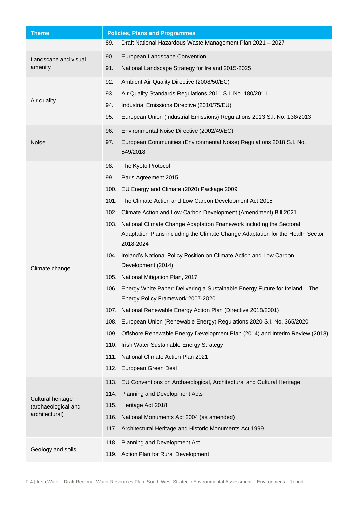| <b>Theme</b>                    | <b>Policies, Plans and Programmes</b> |                                                                                                                        |
|---------------------------------|---------------------------------------|------------------------------------------------------------------------------------------------------------------------|
|                                 | 89.                                   | Draft National Hazardous Waste Management Plan 2021 - 2027                                                             |
| Landscape and visual<br>amenity | 90.                                   | European Landscape Convention                                                                                          |
|                                 | 91.                                   | National Landscape Strategy for Ireland 2015-2025                                                                      |
|                                 | 92.                                   | Ambient Air Quality Directive (2008/50/EC)                                                                             |
|                                 | 93.                                   | Air Quality Standards Regulations 2011 S.I. No. 180/2011                                                               |
| Air quality                     | 94.                                   | Industrial Emissions Directive (2010/75/EU)                                                                            |
|                                 | 95.                                   | European Union (Industrial Emissions) Regulations 2013 S.I. No. 138/2013                                               |
|                                 | 96.                                   | Environmental Noise Directive (2002/49/EC)                                                                             |
| Noise                           | 97.                                   | European Communities (Environmental Noise) Regulations 2018 S.I. No.<br>549/2018                                       |
|                                 | 98.                                   | The Kyoto Protocol                                                                                                     |
|                                 | 99.                                   | Paris Agreement 2015                                                                                                   |
|                                 |                                       | 100. EU Energy and Climate (2020) Package 2009                                                                         |
|                                 | 101.                                  | The Climate Action and Low Carbon Development Act 2015                                                                 |
|                                 | 102.                                  | Climate Action and Low Carbon Development (Amendment) Bill 2021                                                        |
|                                 |                                       | 103. National Climate Change Adaptation Framework including the Sectoral                                               |
|                                 |                                       | Adaptation Plans including the Climate Change Adaptation for the Health Sector<br>2018-2024                            |
| Climate change                  |                                       | 104. Ireland's National Policy Position on Climate Action and Low Carbon<br>Development (2014)                         |
|                                 |                                       | 105. National Mitigation Plan, 2017                                                                                    |
|                                 |                                       | 106. Energy White Paper: Delivering a Sustainable Energy Future for Ireland - The<br>Energy Policy Framework 2007-2020 |
|                                 | 107.                                  | National Renewable Energy Action Plan (Directive 2018/2001)                                                            |
|                                 |                                       | 108. European Union (Renewable Energy) Regulations 2020 S.I. No. 365/2020                                              |
|                                 |                                       | 109. Offshore Renewable Energy Development Plan (2014) and Interim Review (2018)                                       |
|                                 |                                       | 110. Irish Water Sustainable Energy Strategy                                                                           |
|                                 | 111.                                  | <b>National Climate Action Plan 2021</b>                                                                               |
|                                 |                                       | 112. European Green Deal                                                                                               |
|                                 |                                       | 113. EU Conventions on Archaeological, Architectural and Cultural Heritage                                             |
| Cultural heritage               |                                       | 114. Planning and Development Acts                                                                                     |
| (archaeological and             | 115.                                  | Heritage Act 2018                                                                                                      |
| architectural)                  |                                       | 116. National Monuments Act 2004 (as amended)                                                                          |
|                                 |                                       | 117. Architectural Heritage and Historic Monuments Act 1999                                                            |
|                                 |                                       | 118. Planning and Development Act                                                                                      |
| Geology and soils               |                                       | 119. Action Plan for Rural Development                                                                                 |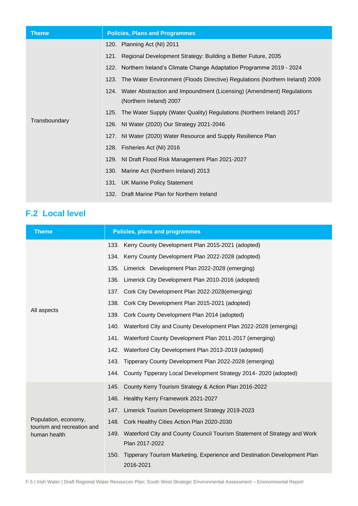| <b>Theme</b>  | <b>Policies, Plans and Programmes</b>                                             |
|---------------|-----------------------------------------------------------------------------------|
|               | 120. Planning Act (NI) 2011                                                       |
|               | 121. Regional Development Strategy: Building a Better Future, 2035                |
|               | 122. Northern Ireland's Climate Change Adaptation Programme 2019 - 2024           |
|               | 123. The Water Environment (Floods Directive) Regulations (Northern Ireland) 2009 |
|               | 124. Water Abstraction and Impoundment (Licensing) (Amendment) Regulations        |
|               | (Northern Ireland) 2007                                                           |
|               | 125. The Water Supply (Water Quality) Regulations (Northern Ireland) 2017         |
| Transboundary | 126. NI Water (2020) Our Strategy 2021-2046                                       |
|               | 127. NI Water (2020) Water Resource and Supply Resilience Plan                    |
|               | 128. Fisheries Act (NI) 2016                                                      |
|               | 129. NI Draft Flood Risk Management Plan 2021-2027                                |
|               | 130. Marine Act (Northern Ireland) 2013                                           |
|               | 131. UK Marine Policy Statement                                                   |
|               | 132. Draft Marine Plan for Northern Ireland                                       |

# **F.2 Local level**

| <b>Theme</b>                                       | <b>Policies, plans and programmes</b>                                                           |  |
|----------------------------------------------------|-------------------------------------------------------------------------------------------------|--|
|                                                    | 133. Kerry County Development Plan 2015-2021 (adopted)                                          |  |
|                                                    | 134. Kerry County Development Plan 2022-2028 (adopted)                                          |  |
|                                                    | 135. Limerick Development Plan 2022-2028 (emerging)                                             |  |
|                                                    | 136. Limerick City Development Plan 2010-2016 (adopted)                                         |  |
|                                                    | 137. Cork City Development Plan 2022-2028(emerging)                                             |  |
|                                                    | 138. Cork City Development Plan 2015-2021 (adopted)                                             |  |
| All aspects                                        | 139. Cork County Development Plan 2014 (adopted)                                                |  |
|                                                    | 140. Waterford City and County Development Plan 2022-2028 (emerging)                            |  |
|                                                    | 141. Waterford County Development Plan 2011-2017 (emerging)                                     |  |
|                                                    | 142. Waterford City Development Plan 2013-2019 (adopted)                                        |  |
|                                                    | 143. Tipperary County Development Plan 2022-2028 (emerging)                                     |  |
|                                                    | 144. County Tipperary Local Development Strategy 2014-2020 (adopted)                            |  |
|                                                    | 145. County Kerry Tourism Strategy & Action Plan 2016-2022                                      |  |
|                                                    | 146. Healthy Kerry Framework 2021-2027                                                          |  |
|                                                    | 147. Limerick Tourism Development Strategy 2019-2023                                            |  |
| Population, economy,<br>tourism and recreation and | 148. Cork Healthy Cities Action Plan 2020-2030                                                  |  |
| human health                                       | 149. Waterford City and County Council Tourism Statement of Strategy and Work<br>Plan 2017-2022 |  |
|                                                    | Tipperary Tourism Marketing, Experience and Destination Development Plan<br>150.<br>2016-2021   |  |

F-5 | Irish Water | Draft Regional Water Resources Plan: South West Strategic Environmental Assessment – Environmental Report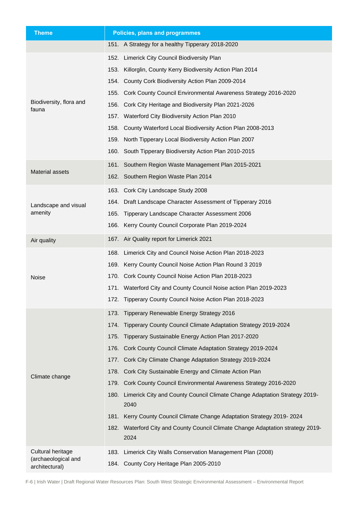| <b>Theme</b>                          | Policies, plans and programmes                                                            |
|---------------------------------------|-------------------------------------------------------------------------------------------|
|                                       | 151. A Strategy for a healthy Tipperary 2018-2020                                         |
|                                       | 152. Limerick City Council Biodiversity Plan                                              |
|                                       | Killorglin, County Kerry Biodiversity Action Plan 2014<br>153.                            |
|                                       | 154. County Cork Biodiversity Action Plan 2009-2014                                       |
|                                       | Cork County Council Environmental Awareness Strategy 2016-2020<br>155.                    |
| Biodiversity, flora and<br>fauna      | Cork City Heritage and Biodiversity Plan 2021-2026<br>156.                                |
|                                       | 157. Waterford City Biodiversity Action Plan 2010                                         |
|                                       | 158. County Waterford Local Biodiversity Action Plan 2008-2013                            |
|                                       | 159.<br>North Tipperary Local Biodiversity Action Plan 2007                               |
|                                       | 160. South Tipperary Biodiversity Action Plan 2010-2015                                   |
|                                       | 161. Southern Region Waste Management Plan 2015-2021                                      |
| Material assets                       | 162. Southern Region Waste Plan 2014                                                      |
|                                       | 163. Cork City Landscape Study 2008                                                       |
| Landscape and visual                  | 164. Draft Landscape Character Assessment of Tipperary 2016                               |
| amenity                               | Tipperary Landscape Character Assessment 2006<br>165.                                     |
|                                       | Kerry County Council Corporate Plan 2019-2024<br>166.                                     |
| Air quality                           | 167. Air Quality report for Limerick 2021                                                 |
|                                       | Limerick City and Council Noise Action Plan 2018-2023<br>168.                             |
|                                       | 169. Kerry County Council Noise Action Plan Round 3 2019                                  |
| Noise                                 | 170. Cork County Council Noise Action Plan 2018-2023                                      |
|                                       | 171. Waterford City and County Council Noise action Plan 2019-2023                        |
|                                       | 172. Tipperary County Council Noise Action Plan 2018-2023                                 |
|                                       | 173. Tipperary Renewable Energy Strategy 2016                                             |
|                                       | 174. Tipperary County Council Climate Adaptation Strategy 2019-2024                       |
|                                       | 175. Tipperary Sustainable Energy Action Plan 2017-2020                                   |
|                                       | 176. Cork County Council Climate Adaptation Strategy 2019-2024                            |
|                                       | 177. Cork City Climate Change Adaptation Strategy 2019-2024                               |
|                                       | 178. Cork City Sustainable Energy and Climate Action Plan                                 |
| Climate change                        | 179. Cork County Council Environmental Awareness Strategy 2016-2020                       |
|                                       | Limerick City and County Council Climate Change Adaptation Strategy 2019-<br>180.<br>2040 |
|                                       | Kerry County Council Climate Change Adaptation Strategy 2019-2024<br>181.                 |
|                                       | 182. Waterford City and County Council Climate Change Adaptation strategy 2019-<br>2024   |
| Cultural heritage                     | Limerick City Walls Conservation Management Plan (2008)<br>183.                           |
| (archaeological and<br>architectural) | 184. County Cory Heritage Plan 2005-2010                                                  |

F-6 | Irish Water | Draft Regional Water Resources Plan: South West Strategic Environmental Assessment – Environmental Report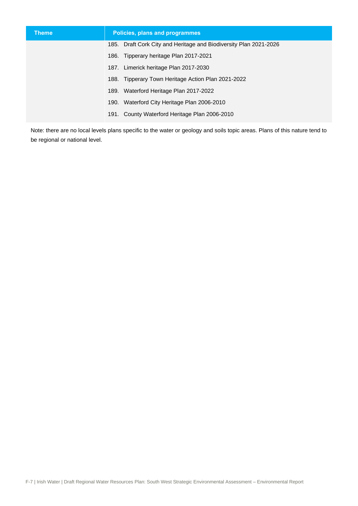| <b>Theme</b> | Policies, plans and programmes                                    |
|--------------|-------------------------------------------------------------------|
|              | 185. Draft Cork City and Heritage and Biodiversity Plan 2021-2026 |
|              | 186. Tipperary heritage Plan 2017-2021                            |
|              | 187. Limerick heritage Plan 2017-2030                             |
|              | 188. Tipperary Town Heritage Action Plan 2021-2022                |
|              | 189. Waterford Heritage Plan 2017-2022                            |
|              | 190. Waterford City Heritage Plan 2006-2010                       |
|              | 191. County Waterford Heritage Plan 2006-2010                     |

Note: there are no local levels plans specific to the water or geology and soils topic areas. Plans of this nature tend to be regional or national level.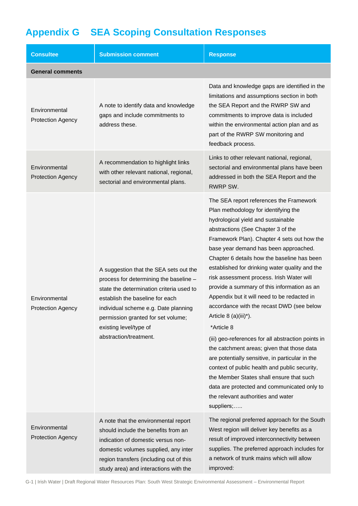# **Appendix G SEA Scoping Consultation Responses**

| <b>Consultee</b>                          | <b>Submission comment</b>                                                                                                                                                                                                                                                                         | <b>Response</b>                                                                                                                                                                                                                                                                                                                                                                                                                                                                                                                                                                                                                                                                                                                                                                                                                                                                                                                            |
|-------------------------------------------|---------------------------------------------------------------------------------------------------------------------------------------------------------------------------------------------------------------------------------------------------------------------------------------------------|--------------------------------------------------------------------------------------------------------------------------------------------------------------------------------------------------------------------------------------------------------------------------------------------------------------------------------------------------------------------------------------------------------------------------------------------------------------------------------------------------------------------------------------------------------------------------------------------------------------------------------------------------------------------------------------------------------------------------------------------------------------------------------------------------------------------------------------------------------------------------------------------------------------------------------------------|
| <b>General comments</b>                   |                                                                                                                                                                                                                                                                                                   |                                                                                                                                                                                                                                                                                                                                                                                                                                                                                                                                                                                                                                                                                                                                                                                                                                                                                                                                            |
| Environmental<br><b>Protection Agency</b> | A note to identify data and knowledge<br>gaps and include commitments to<br>address these.                                                                                                                                                                                                        | Data and knowledge gaps are identified in the<br>limitations and assumptions section in both<br>the SEA Report and the RWRP SW and<br>commitments to improve data is included<br>within the environmental action plan and as<br>part of the RWRP SW monitoring and<br>feedback process.                                                                                                                                                                                                                                                                                                                                                                                                                                                                                                                                                                                                                                                    |
| Environmental<br><b>Protection Agency</b> | A recommendation to highlight links<br>with other relevant national, regional,<br>sectorial and environmental plans.                                                                                                                                                                              | Links to other relevant national, regional,<br>sectorial and environmental plans have been<br>addressed in both the SEA Report and the<br>RWRP SW.                                                                                                                                                                                                                                                                                                                                                                                                                                                                                                                                                                                                                                                                                                                                                                                         |
| Environmental<br><b>Protection Agency</b> | A suggestion that the SEA sets out the<br>process for determining the baseline -<br>state the determination criteria used to<br>establish the baseline for each<br>individual scheme e.g. Date planning<br>permission granted for set volume;<br>existing level/type of<br>abstraction/treatment. | The SEA report references the Framework<br>Plan methodology for identifying the<br>hydrological yield and sustainable<br>abstractions (See Chapter 3 of the<br>Framework Plan). Chapter 4 sets out how the<br>base year demand has been approached.<br>Chapter 6 details how the baseline has been<br>established for drinking water quality and the<br>risk assessment process. Irish Water will<br>provide a summary of this information as an<br>Appendix but it will need to be redacted in<br>accordance with the recast DWD (see below<br>Article 8 (a)(iii)*).<br>*Article 8<br>(iii) geo-references for all abstraction points in<br>the catchment areas; given that those data<br>are potentially sensitive, in particular in the<br>context of public health and public security,<br>the Member States shall ensure that such<br>data are protected and communicated only to<br>the relevant authorities and water<br>suppliers; |
| Environmental<br><b>Protection Agency</b> | A note that the environmental report<br>should include the benefits from an<br>indication of domestic versus non-<br>domestic volumes supplied, any inter<br>region transfers (including out of this<br>study area) and interactions with the                                                     | The regional preferred approach for the South<br>West region will deliver key benefits as a<br>result of improved interconnectivity between<br>supplies. The preferred approach includes for<br>a network of trunk mains which will allow<br>improved:                                                                                                                                                                                                                                                                                                                                                                                                                                                                                                                                                                                                                                                                                     |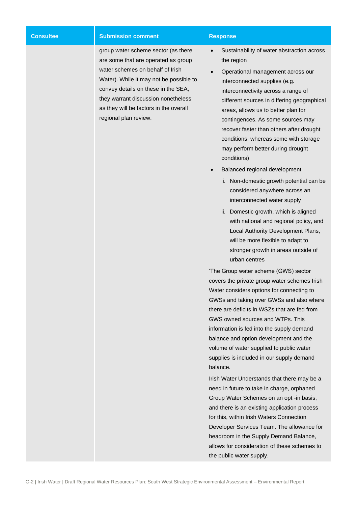| <b>Consultee</b> | <b>Submission comment</b>                                                                                                                                                                                                                                                                                  | <b>Response</b>                                                                                                                                                                                                                                                                                                                                                                                                                                                                                                                                                                                                                                                                                                                                                                                                     |
|------------------|------------------------------------------------------------------------------------------------------------------------------------------------------------------------------------------------------------------------------------------------------------------------------------------------------------|---------------------------------------------------------------------------------------------------------------------------------------------------------------------------------------------------------------------------------------------------------------------------------------------------------------------------------------------------------------------------------------------------------------------------------------------------------------------------------------------------------------------------------------------------------------------------------------------------------------------------------------------------------------------------------------------------------------------------------------------------------------------------------------------------------------------|
|                  | group water scheme sector (as there<br>are some that are operated as group<br>water schemes on behalf of Irish<br>Water). While it may not be possible to<br>convey details on these in the SEA,<br>they warrant discussion nonetheless<br>as they will be factors in the overall<br>regional plan review. | Sustainability of water abstraction across<br>the region<br>Operational management across our<br>interconnected supplies (e.g.<br>interconnectivity across a range of<br>different sources in differing geographical<br>areas, allows us to better plan for<br>contingences. As some sources may<br>recover faster than others after drought<br>conditions, whereas some with storage<br>may perform better during drought<br>conditions)                                                                                                                                                                                                                                                                                                                                                                           |
|                  |                                                                                                                                                                                                                                                                                                            | Balanced regional development<br>i. Non-domestic growth potential can be<br>considered anywhere across an<br>interconnected water supply<br>ii. Domestic growth, which is aligned<br>with national and regional policy, and<br>Local Authority Development Plans,<br>will be more flexible to adapt to<br>stronger growth in areas outside of<br>urban centres<br>'The Group water scheme (GWS) sector<br>covers the private group water schemes Irish<br>Water considers options for connecting to<br>GWSs and taking over GWSs and also where<br>there are deficits in WSZs that are fed from<br>GWS owned sources and WTPs. This<br>information is fed into the supply demand<br>balance and option development and the<br>volume of water supplied to public water<br>supplies is included in our supply demand |
|                  |                                                                                                                                                                                                                                                                                                            | balance.<br>Irish Water Understands that there may be a<br>need in future to take in charge, orphaned<br>Group Water Schemes on an opt -in basis,<br>and there is an existing application process<br>for this, within Irish Waters Connection<br>Developer Services Team. The allowance for<br>headroom in the Supply Demand Balance,<br>allows for consideration of these schemes to<br>the public water supply.                                                                                                                                                                                                                                                                                                                                                                                                   |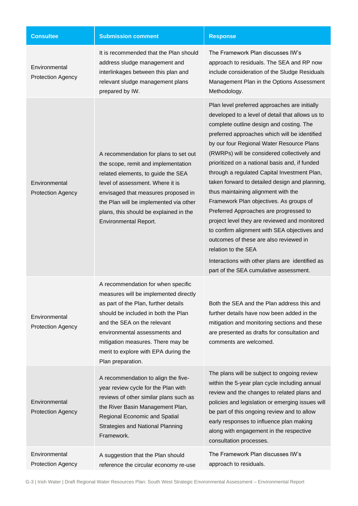| <b>Consultee</b>                          | <b>Submission comment</b>                                                                                                                                                                                                                                                                                                    | <b>Response</b>                                                                                                                                                                                                                                                                                                                                                                                                                                                                                                                                                                                                                                                                                                                                                                                                                           |
|-------------------------------------------|------------------------------------------------------------------------------------------------------------------------------------------------------------------------------------------------------------------------------------------------------------------------------------------------------------------------------|-------------------------------------------------------------------------------------------------------------------------------------------------------------------------------------------------------------------------------------------------------------------------------------------------------------------------------------------------------------------------------------------------------------------------------------------------------------------------------------------------------------------------------------------------------------------------------------------------------------------------------------------------------------------------------------------------------------------------------------------------------------------------------------------------------------------------------------------|
| Environmental<br><b>Protection Agency</b> | It is recommended that the Plan should<br>address sludge management and<br>interlinkages between this plan and<br>relevant sludge management plans<br>prepared by IW.                                                                                                                                                        | The Framework Plan discusses IW's<br>approach to residuals. The SEA and RP now<br>include consideration of the Sludge Residuals<br>Management Plan in the Options Assessment<br>Methodology.                                                                                                                                                                                                                                                                                                                                                                                                                                                                                                                                                                                                                                              |
| Environmental<br><b>Protection Agency</b> | A recommendation for plans to set out<br>the scope, remit and implementation<br>related elements, to guide the SEA<br>level of assessment. Where it is<br>envisaged that measures proposed in<br>the Plan will be implemented via other<br>plans, this should be explained in the<br><b>Environmental Report.</b>            | Plan level preferred approaches are initially<br>developed to a level of detail that allows us to<br>complete outline design and costing. The<br>preferred approaches which will be identified<br>by our four Regional Water Resource Plans<br>(RWRPs) will be considered collectively and<br>prioritized on a national basis and, if funded<br>through a regulated Capital Investment Plan,<br>taken forward to detailed design and planning,<br>thus maintaining alignment with the<br>Framework Plan objectives. As groups of<br>Preferred Approaches are progressed to<br>project level they are reviewed and monitored<br>to confirm alignment with SEA objectives and<br>outcomes of these are also reviewed in<br>relation to the SEA<br>Interactions with other plans are identified as<br>part of the SEA cumulative assessment. |
| Environmental<br><b>Protection Agency</b> | A recommendation for when specific<br>measures will be implemented directly<br>as part of the Plan, further details<br>should be included in both the Plan<br>and the SEA on the relevant<br>environmental assessments and<br>mitigation measures. There may be<br>merit to explore with EPA during the<br>Plan preparation. | Both the SEA and the Plan address this and<br>further details have now been added in the<br>mitigation and monitoring sections and these<br>are presented as drafts for consultation and<br>comments are welcomed.                                                                                                                                                                                                                                                                                                                                                                                                                                                                                                                                                                                                                        |
| Environmental<br><b>Protection Agency</b> | A recommendation to align the five-<br>year review cycle for the Plan with<br>reviews of other similar plans such as<br>the River Basin Management Plan,<br>Regional Economic and Spatial<br><b>Strategies and National Planning</b><br>Framework.                                                                           | The plans will be subject to ongoing review<br>within the 5-year plan cycle including annual<br>review and the changes to related plans and<br>policies and legislation or emerging issues will<br>be part of this ongoing review and to allow<br>early responses to influence plan making<br>along with engagement in the respective<br>consultation processes.                                                                                                                                                                                                                                                                                                                                                                                                                                                                          |
| Environmental<br><b>Protection Agency</b> | A suggestion that the Plan should<br>reference the circular economy re-use                                                                                                                                                                                                                                                   | The Framework Plan discusses IW's<br>approach to residuals.                                                                                                                                                                                                                                                                                                                                                                                                                                                                                                                                                                                                                                                                                                                                                                               |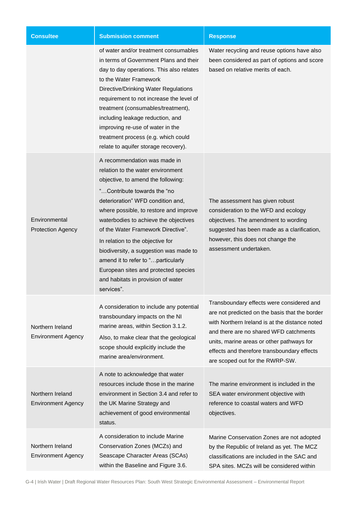| <b>Consultee</b>                              | <b>Submission comment</b>                                                                                                                                                                                                                                                                                                                                                                                                                                                                                            | <b>Response</b>                                                                                                                                                                                                                                                                                                        |
|-----------------------------------------------|----------------------------------------------------------------------------------------------------------------------------------------------------------------------------------------------------------------------------------------------------------------------------------------------------------------------------------------------------------------------------------------------------------------------------------------------------------------------------------------------------------------------|------------------------------------------------------------------------------------------------------------------------------------------------------------------------------------------------------------------------------------------------------------------------------------------------------------------------|
|                                               | of water and/or treatment consumables<br>in terms of Government Plans and their<br>day to day operations. This also relates<br>to the Water Framework<br><b>Directive/Drinking Water Regulations</b><br>requirement to not increase the level of<br>treatment (consumables/treatment),<br>including leakage reduction, and<br>improving re-use of water in the<br>treatment process (e.g. which could<br>relate to aquifer storage recovery).                                                                        | Water recycling and reuse options have also<br>been considered as part of options and score<br>based on relative merits of each.                                                                                                                                                                                       |
| Environmental<br><b>Protection Agency</b>     | A recommendation was made in<br>relation to the water environment<br>objective, to amend the following:<br>"Contribute towards the "no<br>deterioration" WFD condition and,<br>where possible, to restore and improve<br>waterbodies to achieve the objectives<br>of the Water Framework Directive".<br>In relation to the objective for<br>biodiversity, a suggestion was made to<br>amend it to refer to "particularly<br>European sites and protected species<br>and habitats in provision of water<br>services". | The assessment has given robust<br>consideration to the WFD and ecology<br>objectives. The amendment to wording<br>suggested has been made as a clarification,<br>however, this does not change the<br>assessment undertaken.                                                                                          |
| Northern Ireland<br><b>Environment Agency</b> | A consideration to include any potential<br>transboundary impacts on the NI<br>marine areas, within Section 3.1.2.<br>Also, to make clear that the geological<br>scope should explicitly include the<br>marine area/environment.                                                                                                                                                                                                                                                                                     | Transboundary effects were considered and<br>are not predicted on the basis that the border<br>with Northern Ireland is at the distance noted<br>and there are no shared WFD catchments<br>units, marine areas or other pathways for<br>effects and therefore transboundary effects<br>are scoped out for the RWRP-SW. |
| Northern Ireland<br><b>Environment Agency</b> | A note to acknowledge that water<br>resources include those in the marine<br>environment in Section 3.4 and refer to<br>the UK Marine Strategy and<br>achievement of good environmental<br>status.                                                                                                                                                                                                                                                                                                                   | The marine environment is included in the<br>SEA water environment objective with<br>reference to coastal waters and WFD<br>objectives.                                                                                                                                                                                |
| Northern Ireland<br><b>Environment Agency</b> | A consideration to include Marine<br>Conservation Zones (MCZs) and<br>Seascape Character Areas (SCAs)<br>within the Baseline and Figure 3.6.                                                                                                                                                                                                                                                                                                                                                                         | Marine Conservation Zones are not adopted<br>by the Republic of Ireland as yet. The MCZ<br>classifications are included in the SAC and<br>SPA sites. MCZs will be considered within                                                                                                                                    |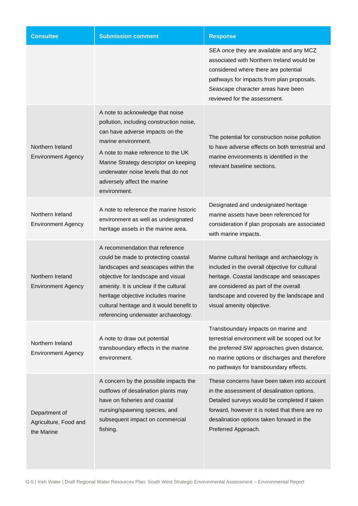| <b>Consultee</b>                                     | <b>Submission comment</b>                                                                                                                                                                                                                                                                                               | <b>Response</b>                                                                                                                                                                                                                                                 |
|------------------------------------------------------|-------------------------------------------------------------------------------------------------------------------------------------------------------------------------------------------------------------------------------------------------------------------------------------------------------------------------|-----------------------------------------------------------------------------------------------------------------------------------------------------------------------------------------------------------------------------------------------------------------|
|                                                      |                                                                                                                                                                                                                                                                                                                         | SEA once they are available and any MCZ<br>associated with Northern Ireland would be<br>considered where there are potential<br>pathways for impacts from plan proposals.<br>Seascape character areas have been<br>reviewed for the assessment.                 |
| Northern Ireland<br><b>Environment Agency</b>        | A note to acknowledge that noise<br>pollution, including construction noise,<br>can have adverse impacts on the<br>marine environment.<br>A note to make reference to the UK<br>Marine Strategy descriptor on keeping<br>underwater noise levels that do not<br>adversely affect the marine<br>environment.             | The potential for construction noise pollution<br>to have adverse effects on both terrestrial and<br>marine environments is identified in the<br>relevant baseline sections.                                                                                    |
| Northern Ireland<br><b>Environment Agency</b>        | A note to reference the marine historic<br>environment as well as undesignated<br>heritage assets in the marine area.                                                                                                                                                                                                   | Designated and undesignated heritage<br>marine assets have been referenced for<br>consideration if plan proposals are associated<br>with marine impacts.                                                                                                        |
| Northern Ireland<br><b>Environment Agency</b>        | A recommendation that reference<br>could be made to protecting coastal<br>landscapes and seascapes within the<br>objective for landscape and visual<br>amenity. It is unclear if the cultural<br>heritage objective includes marine<br>cultural heritage and it would benefit to<br>referencing underwater archaeology. | Marine cultural heritage and archaeology is<br>included in the overall objective for cultural<br>heritage. Coastal landscape and seascapes<br>are considered as part of the overall<br>landscape and covered by the landscape and<br>visual amenity objective.  |
| Northern Ireland<br><b>Environment Agency</b>        | A note to draw out potential<br>transboundary effects in the marine<br>environment.                                                                                                                                                                                                                                     | Transboundary impacts on marine and<br>terrestrial environment will be scoped out for<br>the preferred SW approaches given distance,<br>no marine options or discharges and therefore<br>no pathways for transboundary effects.                                 |
| Department of<br>Agriculture, Food and<br>the Marine | A concern by the possible impacts the<br>outflows of desalination plants may<br>have on fisheries and coastal<br>nursing/spawning species, and<br>subsequent impact on commercial<br>fishing.                                                                                                                           | These concerns have been taken into account<br>in the assessment of desalination options.<br>Detailed surveys would be completed if taken<br>forward, however it is noted that there are no<br>desalination options taken forward in the<br>Preferred Approach. |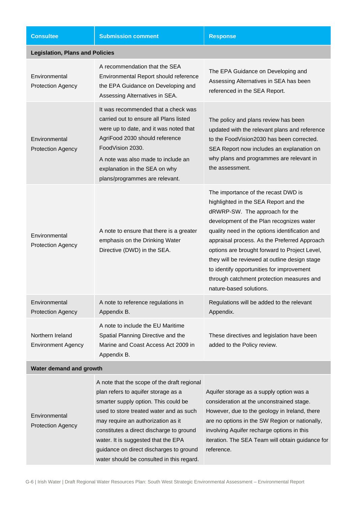| <b>Consultee</b>                              | <b>Submission comment</b>                                                                                                                                                                                                                                                                                                                 | <b>Response</b>                                                                                                                                                                                                                                                                                                                                                                                                                                                                     |
|-----------------------------------------------|-------------------------------------------------------------------------------------------------------------------------------------------------------------------------------------------------------------------------------------------------------------------------------------------------------------------------------------------|-------------------------------------------------------------------------------------------------------------------------------------------------------------------------------------------------------------------------------------------------------------------------------------------------------------------------------------------------------------------------------------------------------------------------------------------------------------------------------------|
| <b>Legislation, Plans and Policies</b>        |                                                                                                                                                                                                                                                                                                                                           |                                                                                                                                                                                                                                                                                                                                                                                                                                                                                     |
| Environmental<br><b>Protection Agency</b>     | A recommendation that the SEA<br>Environmental Report should reference<br>the EPA Guidance on Developing and<br>Assessing Alternatives in SEA.                                                                                                                                                                                            | The EPA Guidance on Developing and<br>Assessing Alternatives in SEA has been<br>referenced in the SEA Report.                                                                                                                                                                                                                                                                                                                                                                       |
| Environmental<br><b>Protection Agency</b>     | It was recommended that a check was<br>carried out to ensure all Plans listed<br>were up to date, and it was noted that<br>AgriFood 2030 should reference<br>FoodVision 2030.<br>A note was also made to include an<br>explanation in the SEA on why<br>plans/programmes are relevant.                                                    | The policy and plans review has been<br>updated with the relevant plans and reference<br>to the FoodVision2030 has been corrected.<br>SEA Report now includes an explanation on<br>why plans and programmes are relevant in<br>the assessment.                                                                                                                                                                                                                                      |
| Environmental<br><b>Protection Agency</b>     | A note to ensure that there is a greater<br>emphasis on the Drinking Water<br>Directive (DWD) in the SEA.                                                                                                                                                                                                                                 | The importance of the recast DWD is<br>highlighted in the SEA Report and the<br>dRWRP-SW. The approach for the<br>development of the Plan recognizes water<br>quality need in the options identification and<br>appraisal process. As the Preferred Approach<br>options are brought forward to Project Level,<br>they will be reviewed at outline design stage<br>to identify opportunities for improvement<br>through catchment protection measures and<br>nature-based solutions. |
| Environmental<br><b>Protection Agency</b>     | A note to reference regulations in<br>Appendix B.                                                                                                                                                                                                                                                                                         | Regulations will be added to the relevant<br>Appendix.                                                                                                                                                                                                                                                                                                                                                                                                                              |
| Northern Ireland<br><b>Environment Agency</b> | A note to include the EU Maritime<br>Spatial Planning Directive and the<br>Marine and Coast Access Act 2009 in<br>Appendix B.                                                                                                                                                                                                             | These directives and legislation have been<br>added to the Policy review.                                                                                                                                                                                                                                                                                                                                                                                                           |
| Water demand and growth                       |                                                                                                                                                                                                                                                                                                                                           |                                                                                                                                                                                                                                                                                                                                                                                                                                                                                     |
| Environmental<br><b>Protection Agency</b>     | A note that the scope of the draft regional<br>plan refers to aquifer storage as a<br>smarter supply option. This could be<br>used to store treated water and as such<br>may require an authorization as it<br>constitutes a direct discharge to ground<br>water. It is suggested that the EPA<br>guidance on direct discharges to ground | Aquifer storage as a supply option was a<br>consideration at the unconstrained stage.<br>However, due to the geology in Ireland, there<br>are no options in the SW Region or nationally,<br>involving Aquifer recharge options in this<br>iteration. The SEA Team will obtain guidance for<br>reference.                                                                                                                                                                            |

water should be consulted in this regard.